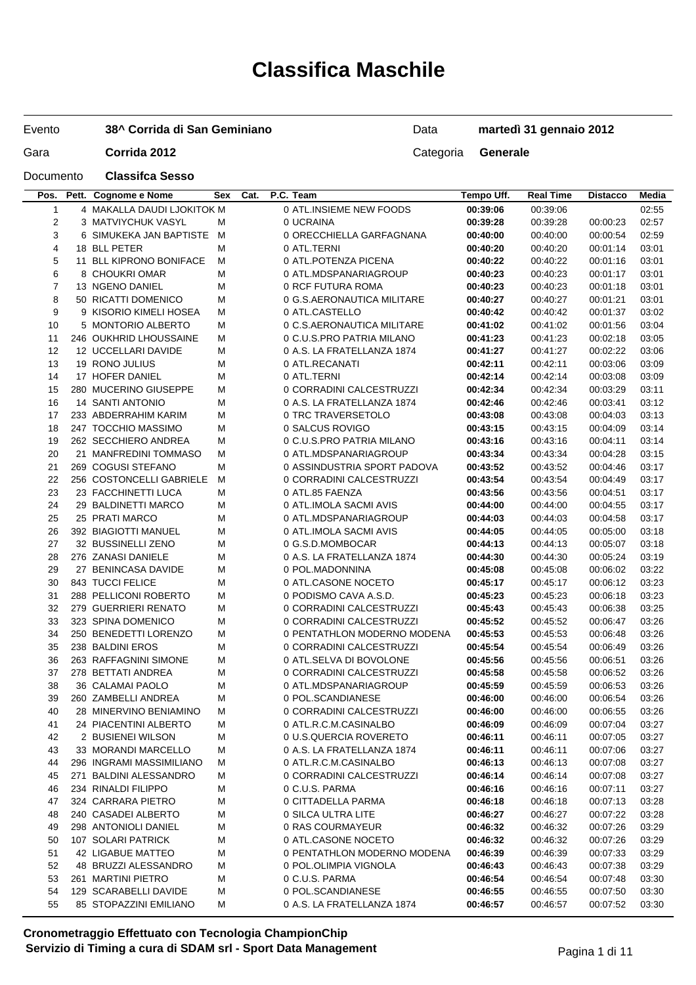# **Classifica Maschile**

| Evento |  | 38^ Corrida di San Geminiano |
|--------|--|------------------------------|
|--------|--|------------------------------|

Data **martedì 31 gennaio 2012**

Documento **Classifca Sesso**

| Gara | Corrida 2012 | Categoria <b>Generale</b> |  |
|------|--------------|---------------------------|--|
|------|--------------|---------------------------|--|

| Pos.           | Pett. Cognome e Nome                        | Sex    | Cat. | P.C. Team                                | Tempo Uff.           | <b>Real Time</b>     | <b>Distacco</b>      | Media          |
|----------------|---------------------------------------------|--------|------|------------------------------------------|----------------------|----------------------|----------------------|----------------|
| 1              | 4 MAKALLA DAUDI LJOKITOK M                  |        |      | 0 ATL.INSIEME NEW FOODS                  | 00:39:06             | 00:39:06             |                      | 02:55          |
| $\mathbf 2$    | 3 MATVIYCHUK VASYL                          | М      |      | 0 UCRAINA                                | 00:39:28             | 00:39:28             | 00:00:23             | 02:57          |
| 3              | 6 SIMUKEKA JAN BAPTISTE M                   |        |      | 0 ORECCHIELLA GARFAGNANA                 | 00:40:00             | 00:40:00             | 00:00:54             | 02:59          |
| 4              | 18 BLL PETER                                | М      |      | 0 ATL.TERNI                              | 00:40:20             | 00:40:20             | 00:01:14             | 03:01          |
| 5              | 11 BLL KIPRONO BONIFACE                     | M      |      | 0 ATL.POTENZA PICENA                     | 00:40:22             | 00:40:22             | 00:01:16             | 03:01          |
| 6              | 8 CHOUKRI OMAR                              | M      |      | 0 ATL.MDSPANARIAGROUP                    | 00:40:23             | 00:40:23             | 00:01:17             | 03:01          |
| $\overline{7}$ | 13 NGENO DANIEL                             | M      |      | 0 RCF FUTURA ROMA                        | 00:40:23             | 00:40:23             | 00:01:18             | 03:01          |
| 8              | 50 RICATTI DOMENICO                         | M      |      | 0 G.S.AERONAUTICA MILITARE               | 00:40:27             | 00:40:27             | 00:01:21             | 03:01          |
| 9              | 9 KISORIO KIMELI HOSEA                      | М      |      | 0 ATL.CASTELLO                           | 00:40:42             | 00:40:42             | 00:01:37             | 03:02          |
| 10             | 5 MONTORIO ALBERTO                          | M      |      | 0 C.S.AERONAUTICA MILITARE               | 00:41:02             | 00:41:02             | 00:01:56             | 03:04          |
| 11             | 246 OUKHRID LHOUSSAINE                      | M      |      | 0 C.U.S.PRO PATRIA MILANO                | 00:41:23             | 00:41:23             | 00:02:18             | 03:05          |
| 12             | 12 UCCELLARI DAVIDE                         | М      |      | 0 A.S. LA FRATELLANZA 1874               | 00:41:27             | 00:41:27             | 00:02:22             | 03:06          |
| 13             | 19 RONO JULIUS                              | M      |      | 0 ATL.RECANATI                           | 00:42:11             | 00:42:11             | 00:03:06             | 03:09          |
| 14             | 17 HOFER DANIEL                             | M      |      | 0 ATL.TERNI                              | 00:42:14             | 00:42:14             | 00:03:08             | 03:09          |
| 15             | 280 MUCERINO GIUSEPPE                       | М      |      | 0 CORRADINI CALCESTRUZZI                 | 00:42:34             | 00:42:34             | 00:03:29             | 03:11          |
| 16             | 14 SANTI ANTONIO                            | M      |      | 0 A.S. LA FRATELLANZA 1874               | 00:42:46             | 00:42:46             | 00:03:41             | 03:12          |
| 17             | 233 ABDERRAHIM KARIM                        | M      |      | 0 TRC TRAVERSETOLO                       | 00:43:08             | 00:43:08             | 00:04:03             | 03:13          |
| 18             | 247 TOCCHIO MASSIMO                         | М      |      | 0 SALCUS ROVIGO                          | 00:43:15             | 00:43:15             | 00:04:09             | 03:14          |
| 19             | 262 SECCHIERO ANDREA                        | M      |      | 0 C.U.S.PRO PATRIA MILANO                | 00:43:16             | 00:43:16             | 00:04:11             | 03:14          |
| 20             | 21 MANFREDINI TOMMASO                       | M      |      | 0 ATL.MDSPANARIAGROUP                    | 00:43:34             | 00:43:34             | 00:04:28             | 03:15          |
| 21             | 269 COGUSI STEFANO                          | М      |      | 0 ASSINDUSTRIA SPORT PADOVA              | 00:43:52             | 00:43:52             | 00:04:46             | 03:17          |
| 22             | 256 COSTONCELLI GABRIELE                    | м      |      | 0 CORRADINI CALCESTRUZZI                 | 00:43:54             | 00:43:54             | 00:04:49             | 03:17          |
| 23             | 23 FACCHINETTI LUCA                         | M      |      | 0 ATL.85 FAENZA                          | 00:43:56             | 00:43:56             | 00:04:51             | 03:17          |
| 24             | 29 BALDINETTI MARCO                         | М      |      | 0 ATL.IMOLA SACMI AVIS                   | 00:44:00             | 00:44:00             | 00:04:55             | 03:17          |
| 25             | 25 PRATI MARCO                              | M      |      | 0 ATL.MDSPANARIAGROUP                    | 00:44:03             | 00:44:03             | 00:04:58             | 03:17          |
| 26             | 392 BIAGIOTTI MANUEL                        | M      |      | 0 ATL.IMOLA SACMI AVIS                   | 00:44:05             | 00:44:05             | 00:05:00             | 03:18          |
| 27             | 32 BUSSINELLI ZENO                          | M      |      | 0 G.S.D.MOMBOCAR                         | 00:44:13             | 00:44:13             | 00:05:07             | 03:18          |
| 28             | 276 ZANASI DANIELE                          | M      |      | 0 A.S. LA FRATELLANZA 1874               | 00:44:30             | 00:44:30             | 00:05:24             | 03:19          |
| 29             | 27 BENINCASA DAVIDE                         | M      |      | 0 POL.MADONNINA                          | 00:45:08             | 00:45:08             | 00:06:02             | 03:22          |
| 30             | 843 TUCCI FELICE                            | М      |      | 0 ATL.CASONE NOCETO                      | 00:45:17             | 00:45:17             | 00:06:12             | 03:23          |
| 31             | 288 PELLICONI ROBERTO                       | M      |      | 0 PODISMO CAVA A.S.D.                    | 00:45:23             | 00:45:23             | 00:06:18             | 03:23          |
| 32             | 279 GUERRIERI RENATO                        | M      |      | 0 CORRADINI CALCESTRUZZI                 | 00:45:43             | 00:45:43             | 00:06:38             | 03:25          |
| 33             | 323 SPINA DOMENICO                          | M      |      | 0 CORRADINI CALCESTRUZZI                 | 00:45:52             | 00:45:52             | 00:06:47             | 03:26          |
| 34             | 250 BENEDETTI LORENZO                       | M      |      | 0 PENTATHLON MODERNO MODENA              | 00:45:53             | 00:45:53             | 00:06:48             | 03:26          |
| 35             | 238 BALDINI EROS                            | M      |      | 0 CORRADINI CALCESTRUZZI                 | 00:45:54             | 00:45:54             | 00:06:49             | 03:26          |
| 36             | 263 RAFFAGNINI SIMONE                       | М      |      | 0 ATL.SELVA DI BOVOLONE                  | 00:45:56             | 00:45:56             | 00:06:51             | 03:26          |
| 37             | 278 BETTATI ANDREA                          | M      |      | 0 CORRADINI CALCESTRUZZI                 | 00:45:58             | 00:45:58             | 00:06:52             | 03:26          |
| 38             | 36 CALAMAI PAOLO                            | M      |      | 0 ATL.MDSPANARIAGROUP                    | 00:45:59             | 00:45:59             | 00:06:53             | 03:26          |
| 39             | 260 ZAMBELLI ANDREA                         | M      |      | 0 POL.SCANDIANESE                        | 00:46:00             | 00:46:00             | 00:06:54             | 03:26          |
| 40             | 28 MINERVINO BENIAMINO                      | М      |      | 0 CORRADINI CALCESTRUZZI                 | 00:46:00             | 00:46:00             | 00:06:55             | 03:26          |
| 41             | 24 PIACENTINI ALBERTO                       | M      |      | 0 ATL.R.C.M.CASINALBO                    | 00:46:09             | 00:46:09             | 00:07:04             | 03:27          |
| 42             | 2 BUSIENEI WILSON                           | M      |      | 0 U.S.QUERCIA ROVERETO                   | 00:46:11             | 00:46:11             | 00:07:05             | 03:27          |
| 43             | 33 MORANDI MARCELLO                         | M      |      | 0 A.S. LA FRATELLANZA 1874               | 00:46:11             | 00:46:11             | 00:07:06             | 03:27          |
| 44             | 296 INGRAMI MASSIMILIANO                    | M      |      | 0 ATL.R.C.M.CASINALBO                    | 00:46:13             | 00:46:13             | 00:07:08             | 03:27          |
|                | 271 BALDINI ALESSANDRO                      |        |      | 0 CORRADINI CALCESTRUZZI                 |                      | 00:46:14             |                      | 03:27          |
| 45             | 234 RINALDI FILIPPO                         | M<br>M |      | 0 C.U.S. PARMA                           | 00:46:14<br>00:46:16 | 00:46:16             | 00:07:08<br>00:07:11 | 03:27          |
| 46             | 324 CARRARA PIETRO                          |        |      |                                          |                      |                      |                      |                |
| 47<br>48       | 240 CASADEI ALBERTO                         | M<br>M |      | 0 CITTADELLA PARMA<br>0 SILCA ULTRA LITE | 00:46:18<br>00:46:27 | 00:46:18<br>00:46:27 | 00:07:13<br>00:07:22 | 03:28<br>03:28 |
| 49             | 298 ANTONIOLI DANIEL                        | M      |      | 0 RAS COURMAYEUR                         | 00:46:32             | 00:46:32             | 00:07:26             | 03:29          |
| 50             | 107 SOLARI PATRICK                          | M      |      | 0 ATL.CASONE NOCETO                      | 00:46:32             | 00:46:32             | 00:07:26             | 03:29          |
|                | 42 LIGABUE MATTEO                           |        |      | 0 PENTATHLON MODERNO MODENA              | 00:46:39             |                      |                      | 03:29          |
| 51             | 48 BRUZZI ALESSANDRO                        | M      |      |                                          |                      | 00:46:39             | 00:07:33             |                |
| 52             |                                             | M      |      | 0 POL.OLIMPIA VIGNOLA                    | 00:46:43             | 00:46:43             | 00:07:38             | 03:29          |
| 53             | 261 MARTINI PIETRO<br>129 SCARABELLI DAVIDE | M      |      | 0 C.U.S. PARMA<br>0 POL.SCANDIANESE      | 00:46:54             | 00:46:54             | 00:07:48             | 03:30          |
| 54             | 85 STOPAZZINI EMILIANO                      | M      |      |                                          | 00:46:55             | 00:46:55             | 00:07:50             | 03:30          |
| 55             |                                             | M      |      | 0 A.S. LA FRATELLANZA 1874               | 00:46:57             | 00:46:57             | 00:07:52             | 03:30          |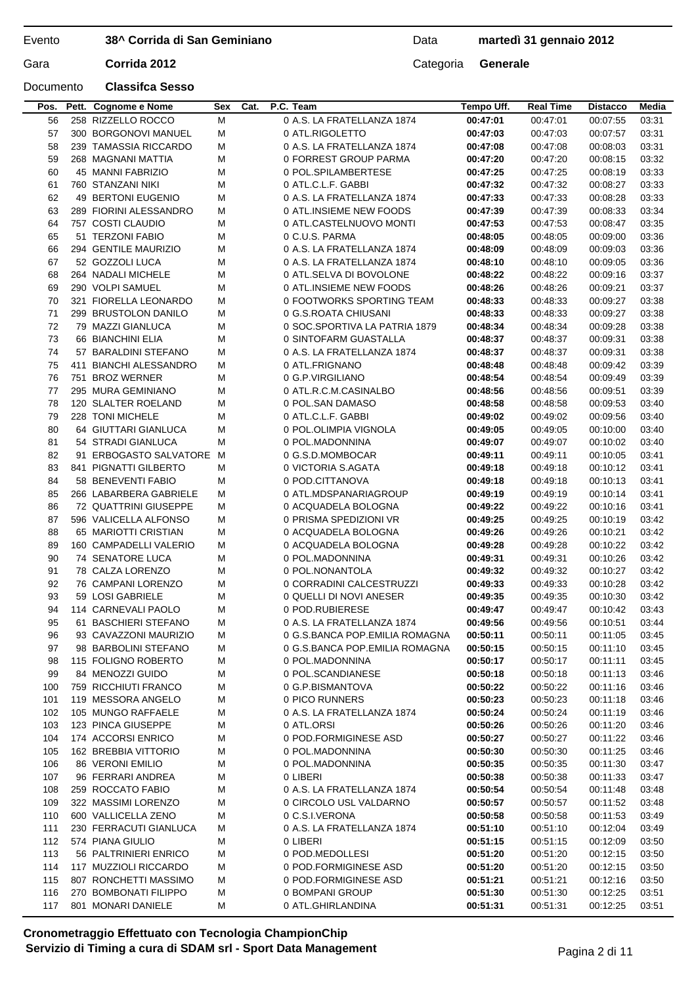Data **martedì 31 gennaio 2012**

Gara **Corrida 2012** Categoria **Generale** 

### Documento **Classifca Sesso**

| 56  | 258 RIZZELLO ROCCO       | м      | 0 A.S. LA FRATELLANZA 1874     | 00:47:01 | 00:47:01 | 00:07:55             | 03:31 |
|-----|--------------------------|--------|--------------------------------|----------|----------|----------------------|-------|
| 57  | 300 BORGONOVI MANUEL     | м      | 0 ATL.RIGOLETTO                | 00:47:03 | 00:47:03 | 00:07:57             | 03:31 |
| 58  | 239 TAMASSIA RICCARDO    | M      | 0 A.S. LA FRATELLANZA 1874     | 00:47:08 | 00:47:08 | 00:08:03             | 03:31 |
| 59  | 268 MAGNANI MATTIA       | M      | 0 FORREST GROUP PARMA          | 00:47:20 | 00:47:20 | 00:08:15             | 03:32 |
| 60  | 45 MANNI FABRIZIO        | М      | 0 POL.SPILAMBERTESE            | 00:47:25 | 00:47:25 | 00:08:19             | 03:33 |
| 61  | 760 STANZANI NIKI        | M      | 0 ATL.C.L.F. GABBI             | 00:47:32 | 00:47:32 | 00:08:27             | 03:33 |
| 62  | 49 BERTONI EUGENIO       | M      | 0 A.S. LA FRATELLANZA 1874     | 00:47:33 | 00:47:33 | 00:08:28             | 03:33 |
| 63  | 289 FIORINI ALESSANDRO   | м      | 0 ATL.INSIEME NEW FOODS        | 00:47:39 | 00:47:39 | 00:08:33             | 03:34 |
| 64  | 757 COSTI CLAUDIO        | M      | 0 ATL.CASTELNUOVO MONTI        | 00:47:53 | 00:47:53 | 00:08:47             | 03:35 |
| 65  | 51 TERZONI FABIO         | M      | 0 C.U.S. PARMA                 | 00:48:05 | 00:48:05 | 00:09:00             | 03:36 |
| 66  | 294 GENTILE MAURIZIO     | м      | 0 A.S. LA FRATELLANZA 1874     | 00:48:09 | 00:48:09 | 00:09:03             | 03:36 |
| 67  | 52 GOZZOLI LUCA          | M      | 0 A.S. LA FRATELLANZA 1874     | 00:48:10 | 00:48:10 | 00:09:05             | 03:36 |
| 68  | 264 NADALI MICHELE       | M      | 0 ATL.SELVA DI BOVOLONE        | 00:48:22 | 00:48:22 | 00:09:16             | 03:37 |
| 69  | 290 VOLPI SAMUEL         | м      | 0 ATL.INSIEME NEW FOODS        | 00:48:26 | 00:48:26 | 00:09:21             | 03:37 |
| 70  | 321 FIORELLA LEONARDO    | M      | 0 FOOTWORKS SPORTING TEAM      | 00:48:33 | 00:48:33 | 00:09:27             | 03:38 |
| 71  | 299 BRUSTOLON DANILO     | M      | 0 G.S.ROATA CHIUSANI           | 00:48:33 | 00:48:33 | 00:09:27             | 03:38 |
| 72  | 79 MAZZI GIANLUCA        | М      | 0 SOC.SPORTIVA LA PATRIA 1879  | 00:48:34 | 00:48:34 | 00:09:28             | 03:38 |
| 73  | 66 BIANCHINI ELIA        | M      | 0 SINTOFARM GUASTALLA          | 00:48:37 | 00:48:37 | 00:09:31             | 03:38 |
| 74  | 57 BARALDINI STEFANO     | м      | 0 A.S. LA FRATELLANZA 1874     | 00:48:37 | 00:48:37 | 00:09:31             | 03:38 |
| 75  | 411 BIANCHI ALESSANDRO   | м      | 0 ATL.FRIGNANO                 | 00:48:48 | 00:48:48 | 00:09:42             | 03:39 |
| 76  | 751 BROZ WERNER          | M      | 0 G.P.VIRGILIANO               | 00:48:54 | 00:48:54 | 00:09:49             | 03:39 |
| 77  | 295 MURA GEMINIANO       |        | 0 ATL.R.C.M.CASINALBO          | 00:48:56 | 00:48:56 |                      | 03:39 |
| 78  | 120 SLALTER ROELAND      | M<br>м | 0 POL.SAN DAMASO               | 00:48:58 | 00:48:58 | 00:09:51<br>00:09:53 | 03:40 |
|     |                          |        | 0 ATL.C.L.F. GABBI             |          |          |                      |       |
| 79  | 228 TONI MICHELE         | М      |                                | 00:49:02 | 00:49:02 | 00:09:56             | 03:40 |
| 80  | 64 GIUTTARI GIANLUCA     | м      | 0 POL.OLIMPIA VIGNOLA          | 00:49:05 | 00:49:05 | 00:10:00             | 03:40 |
| 81  | 54 STRADI GIANLUCA       | М      | 0 POL.MADONNINA                | 00:49:07 | 00:49:07 | 00:10:02             | 03:40 |
| 82  | 91 ERBOGASTO SALVATORE M |        | 0 G.S.D.MOMBOCAR               | 00:49:11 | 00:49:11 | 00:10:05             | 03:41 |
| 83  | 841 PIGNATTI GILBERTO    | м      | 0 VICTORIA S.AGATA             | 00:49:18 | 00:49:18 | 00:10:12             | 03:41 |
| 84  | 58 BENEVENTI FABIO       | м      | 0 POD.CITTANOVA                | 00:49:18 | 00:49:18 | 00:10:13             | 03:41 |
| 85  | 266 LABARBERA GABRIELE   | M      | 0 ATL.MDSPANARIAGROUP          | 00:49:19 | 00:49:19 | 00:10:14             | 03:41 |
| 86  | 72 QUATTRINI GIUSEPPE    | м      | 0 ACQUADELA BOLOGNA            | 00:49:22 | 00:49:22 | 00:10:16             | 03:41 |
| 87  | 596 VALICELLA ALFONSO    | М      | 0 PRISMA SPEDIZIONI VR         | 00:49:25 | 00:49:25 | 00:10:19             | 03:42 |
| 88  | 65 MARIOTTI CRISTIAN     | M      | 0 ACQUADELA BOLOGNA            | 00:49:26 | 00:49:26 | 00:10:21             | 03:42 |
| 89  | 160 CAMPADELLI VALERIO   | м      | 0 ACQUADELA BOLOGNA            | 00:49:28 | 00:49:28 | 00:10:22             | 03:42 |
| 90  | 74 SENATORE LUCA         | м      | 0 POL.MADONNINA                | 00:49:31 | 00:49:31 | 00:10:26             | 03:42 |
| 91  | 78 CALZA LORENZO         | M      | 0 POL.NONANTOLA                | 00:49:32 | 00:49:32 | 00:10:27             | 03:42 |
| 92  | 76 CAMPANI LORENZO       | м      | 0 CORRADINI CALCESTRUZZI       | 00:49:33 | 00:49:33 | 00:10:28             | 03:42 |
| 93  | 59 LOSI GABRIELE         | м      | 0 QUELLI DI NOVI ANESER        | 00:49:35 | 00:49:35 | 00:10:30             | 03:42 |
| 94  | 114 CARNEVALI PAOLO      | M      | 0 POD.RUBIERESE                | 00:49:47 | 00:49:47 | 00:10:42             | 03:43 |
| 95  | 61 BASCHIERI STEFANO     | М      | 0 A.S. LA FRATELLANZA 1874     | 00:49:56 | 00:49:56 | 00:10:51             | 03:44 |
| 96  | 93 CAVAZZONI MAURIZIO    | М      | 0 G.S.BANCA POP.EMILIA ROMAGNA | 00:50:11 | 00:50:11 | 00:11:05             | 03:45 |
| 97  | 98 BARBOLINI STEFANO     | M      | 0 G.S.BANCA POP.EMILIA ROMAGNA | 00:50:15 | 00:50:15 | 00:11:10             | 03:45 |
| 98  | 115 FOLIGNO ROBERTO      | M      | 0 POL.MADONNINA                | 00:50:17 | 00:50:17 | 00:11:11             | 03:45 |
| 99  | 84 MENOZZI GUIDO         | M      | 0 POL.SCANDIANESE              | 00:50:18 | 00:50:18 | 00:11:13             | 03:46 |
| 100 | 759 RICCHIUTI FRANCO     | M      | 0 G.P.BISMANTOVA               | 00:50:22 | 00:50:22 | 00:11:16             | 03:46 |
| 101 | 119 MESSORA ANGELO       | M      | 0 PICO RUNNERS                 | 00:50:23 | 00:50:23 | 00:11:18             | 03:46 |
| 102 | 105 MUNGO RAFFAELE       | M      | 0 A.S. LA FRATELLANZA 1874     | 00:50:24 | 00:50:24 | 00:11:19             | 03:46 |
| 103 | 123 PINCA GIUSEPPE       | M      | 0 ATL.ORSI                     | 00:50:26 | 00:50:26 | 00:11:20             | 03:46 |
| 104 | 174 ACCORSI ENRICO       | M      | 0 POD.FORMIGINESE ASD          | 00:50:27 | 00:50:27 | 00:11:22             | 03:46 |
| 105 | 162 BREBBIA VITTORIO     | M      | 0 POL.MADONNINA                | 00:50:30 | 00:50:30 | 00:11:25             | 03:46 |
| 106 | 86 VERONI EMILIO         | M      | 0 POL.MADONNINA                | 00:50:35 | 00:50:35 | 00:11:30             | 03:47 |
| 107 | 96 FERRARI ANDREA        | M      | 0 LIBERI                       | 00:50:38 | 00:50:38 | 00:11:33             | 03:47 |
| 108 | 259 ROCCATO FABIO        | M      | 0 A.S. LA FRATELLANZA 1874     | 00:50:54 | 00:50:54 | 00:11:48             | 03:48 |
| 109 | 322 MASSIMI LORENZO      | M      | 0 CIRCOLO USL VALDARNO         | 00:50:57 | 00:50:57 | 00:11:52             | 03:48 |
| 110 | 600 VALLICELLA ZENO      | M      | 0 C.S.I.VERONA                 | 00:50:58 | 00:50:58 | 00:11:53             | 03:49 |
| 111 | 230 FERRACUTI GIANLUCA   | M      | 0 A.S. LA FRATELLANZA 1874     | 00:51:10 | 00:51:10 | 00:12:04             | 03:49 |
| 112 | 574 PIANA GIULIO         | M      | 0 LIBERI                       | 00:51:15 | 00:51:15 | 00:12:09             | 03:50 |
| 113 | 56 PALTRINIERI ENRICO    | M      | 0 POD.MEDOLLESI                | 00:51:20 | 00:51:20 | 00:12:15             | 03:50 |
| 114 | 117 MUZZIOLI RICCARDO    | M      | 0 POD.FORMIGINESE ASD          | 00:51:20 | 00:51:20 | 00:12:15             | 03:50 |
| 115 | 807 RONCHETTI MASSIMO    | M      | 0 POD.FORMIGINESE ASD          | 00:51:21 | 00:51:21 | 00:12:16             | 03:50 |
| 116 | 270 BOMBONATI FILIPPO    | M      | 0 BOMPANI GROUP                | 00:51:30 | 00:51:30 | 00:12:25             | 03:51 |
| 117 | 801 MONARI DANIELE       | M      | 0 ATL.GHIRLANDINA              | 00:51:31 | 00:51:31 | 00:12:25             | 03:51 |
|     |                          |        |                                |          |          |                      |       |

**Pos. Pett. Cognome e Nome Sex Cat. P.C. Team Tempo Uff. Real Time Distacco Media**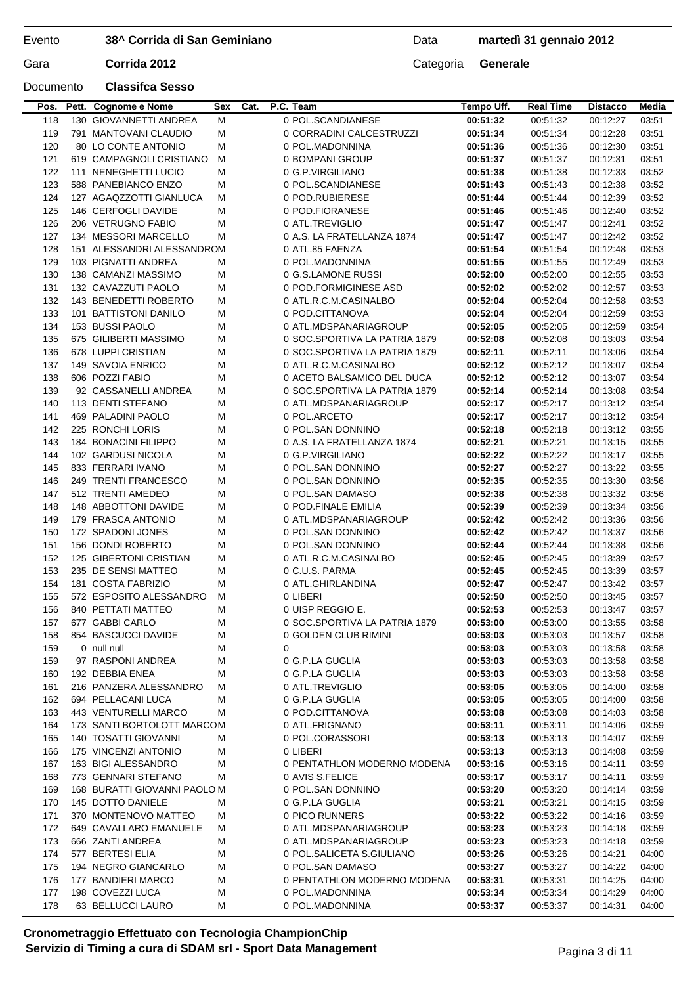Data **martedì 31 gennaio 2012**

## Documento **Classifca Sesso**

|     | Pos. Pett. Cognome e Nome    | Sex | Cat. |   | P.C. Team                     | Tempo Uff. | <b>Real Time</b> | <b>Distacco</b> | Media |
|-----|------------------------------|-----|------|---|-------------------------------|------------|------------------|-----------------|-------|
| 118 | 130 GIOVANNETTI ANDREA       | M   |      |   | 0 POL.SCANDIANESE             | 00:51:32   | 00:51:32         | 00:12:27        | 03:51 |
| 119 | 791 MANTOVANI CLAUDIO        | M   |      |   | 0 CORRADINI CALCESTRUZZI      | 00:51:34   | 00:51:34         | 00:12:28        | 03:51 |
| 120 | 80 LO CONTE ANTONIO          | M   |      |   | 0 POL.MADONNINA               | 00:51:36   | 00:51:36         | 00:12:30        | 03:51 |
| 121 | 619 CAMPAGNOLI CRISTIANO     | м   |      |   | 0 BOMPANI GROUP               | 00:51:37   | 00:51:37         | 00:12:31        | 03:51 |
| 122 | 111 NENEGHETTI LUCIO         | м   |      |   | 0 G.P.VIRGILIANO              | 00:51:38   | 00:51:38         | 00:12:33        | 03:52 |
| 123 | 588 PANEBIANCO ENZO          | M   |      |   | 0 POL.SCANDIANESE             | 00:51:43   | 00:51:43         | 00:12:38        | 03:52 |
| 124 | 127 AGAQZZOTTI GIANLUCA      | м   |      |   | 0 POD.RUBIERESE               | 00:51:44   | 00:51:44         | 00:12:39        | 03:52 |
| 125 | 146 CERFOGLI DAVIDE          | м   |      |   | 0 POD.FIORANESE               | 00:51:46   | 00:51:46         | 00:12:40        | 03:52 |
| 126 | 206 VETRUGNO FABIO           | M   |      |   | 0 ATL.TREVIGLIO               | 00:51:47   | 00:51:47         | 00:12:41        | 03:52 |
|     | 134 MESSORI MARCELLO         |     |      |   |                               |            |                  |                 |       |
| 127 |                              | м   |      |   | 0 A.S. LA FRATELLANZA 1874    | 00:51:47   | 00:51:47         | 00:12:42        | 03:52 |
| 128 | 151 ALESSANDRI ALESSANDROM   |     |      |   | 0 ATL.85 FAENZA               | 00:51:54   | 00:51:54         | 00:12:48        | 03:53 |
| 129 | 103 PIGNATTI ANDREA          | м   |      |   | 0 POL.MADONNINA               | 00:51:55   | 00:51:55         | 00:12:49        | 03:53 |
| 130 | 138 CAMANZI MASSIMO          | M   |      |   | 0 G.S.LAMONE RUSSI            | 00:52:00   | 00:52:00         | 00:12:55        | 03:53 |
| 131 | 132 CAVAZZUTI PAOLO          | м   |      |   | 0 POD.FORMIGINESE ASD         | 00:52:02   | 00:52:02         | 00:12:57        | 03:53 |
| 132 | 143 BENEDETTI ROBERTO        | M   |      |   | 0 ATL.R.C.M.CASINALBO         | 00:52:04   | 00:52:04         | 00:12:58        | 03:53 |
| 133 | 101 BATTISTONI DANILO        | M   |      |   | 0 POD.CITTANOVA               | 00:52:04   | 00:52:04         | 00:12:59        | 03:53 |
| 134 | 153 BUSSI PAOLO              | м   |      |   | 0 ATL.MDSPANARIAGROUP         | 00:52:05   | 00:52:05         | 00:12:59        | 03:54 |
| 135 | 675 GILIBERTI MASSIMO        | M   |      |   | 0 SOC.SPORTIVA LA PATRIA 1879 | 00:52:08   | 00:52:08         | 00:13:03        | 03:54 |
| 136 | 678 LUPPI CRISTIAN           | M   |      |   | 0 SOC.SPORTIVA LA PATRIA 1879 | 00:52:11   | 00:52:11         | 00:13:06        | 03:54 |
| 137 | 149 SAVOIA ENRICO            | M   |      |   | 0 ATL.R.C.M.CASINALBO         | 00:52:12   | 00:52:12         | 00:13:07        | 03:54 |
| 138 | 606 POZZI FABIO              | M   |      |   | 0 ACETO BALSAMICO DEL DUCA    | 00:52:12   | 00:52:12         | 00:13:07        | 03:54 |
| 139 | 92 CASSANELLI ANDREA         | м   |      |   | 0 SOC.SPORTIVA LA PATRIA 1879 | 00:52:14   | 00:52:14         | 00:13:08        | 03:54 |
| 140 | 113 DENTI STEFANO            | м   |      |   | 0 ATL.MDSPANARIAGROUP         | 00:52:17   | 00:52:17         | 00:13:12        | 03:54 |
| 141 | 469 PALADINI PAOLO           | M   |      |   | 0 POL.ARCETO                  | 00:52:17   | 00:52:17         | 00:13:12        | 03:54 |
| 142 | 225 RONCHI LORIS             | M   |      |   | 0 POL.SAN DONNINO             | 00:52:18   | 00:52:18         | 00:13:12        | 03:55 |
| 143 | 184 BONACINI FILIPPO         | м   |      |   | 0 A.S. LA FRATELLANZA 1874    | 00:52:21   | 00:52:21         | 00:13:15        | 03:55 |
| 144 | 102 GARDUSI NICOLA           | M   |      |   | 0 G.P.VIRGILIANO              | 00:52:22   | 00:52:22         | 00:13:17        | 03:55 |
| 145 | 833 FERRARI IVANO            | M   |      |   | 0 POL.SAN DONNINO             | 00:52:27   | 00:52:27         | 00:13:22        | 03:55 |
| 146 | 249 TRENTI FRANCESCO         | м   |      |   | 0 POL.SAN DONNINO             |            | 00:52:35         | 00:13:30        | 03:56 |
|     |                              |     |      |   |                               | 00:52:35   |                  |                 |       |
| 147 | 512 TRENTI AMEDEO            | M   |      |   | 0 POL.SAN DAMASO              | 00:52:38   | 00:52:38         | 00:13:32        | 03:56 |
| 148 | 148 ABBOTTONI DAVIDE         | M   |      |   | 0 POD.FINALE EMILIA           | 00:52:39   | 00:52:39         | 00:13:34        | 03:56 |
| 149 | 179 FRASCA ANTONIO           | м   |      |   | 0 ATL.MDSPANARIAGROUP         | 00:52:42   | 00:52:42         | 00:13:36        | 03:56 |
| 150 | 172 SPADONI JONES            | M   |      |   | 0 POL.SAN DONNINO             | 00:52:42   | 00:52:42         | 00:13:37        | 03:56 |
| 151 | 156 DONDI ROBERTO            | M   |      |   | 0 POL.SAN DONNINO             | 00:52:44   | 00:52:44         | 00:13:38        | 03:56 |
| 152 | 125 GIBERTONI CRISTIAN       | м   |      |   | 0 ATL.R.C.M.CASINALBO         | 00:52:45   | 00:52:45         | 00:13:39        | 03:57 |
| 153 | 235 DE SENSI MATTEO          | M   |      |   | 0 C.U.S. PARMA                | 00:52:45   | 00:52:45         | 00:13:39        | 03:57 |
| 154 | 181 COSTA FABRIZIO           | M   |      |   | 0 ATL.GHIRLANDINA             | 00:52:47   | 00:52:47         | 00:13:42        | 03:57 |
| 155 | 572 ESPOSITO ALESSANDRO      | м   |      |   | 0 LIBERI                      | 00:52:50   | 00:52:50         | 00:13:45        | 03:57 |
| 156 | 840 PETTATI MATTEO           | M   |      |   | 0 UISP REGGIO E.              | 00:52:53   | 00:52:53         | 00:13:47        | 03:57 |
| 157 | 677 GABBI CARLO              | M   |      |   | 0 SOC.SPORTIVA LA PATRIA 1879 | 00:53:00   | 00:53:00         | 00:13:55        | 03:58 |
| 158 | 854 BASCUCCI DAVIDE          | м   |      |   | 0 GOLDEN CLUB RIMINI          | 00:53:03   | 00:53:03         | 00:13:57        | 03:58 |
| 159 | 0 null null                  | M   |      | 0 |                               | 00:53:03   | 00:53:03         | 00:13:58        | 03:58 |
| 159 | 97 RASPONI ANDREA            | м   |      |   | 0 G.P.LA GUGLIA               | 00:53:03   | 00:53:03         | 00:13:58        | 03:58 |
| 160 | 192 DEBBIA ENEA              | м   |      |   | 0 G.P.LA GUGLIA               | 00:53:03   | 00:53:03         | 00:13:58        | 03:58 |
| 161 | 216 PANZERA ALESSANDRO       | м   |      |   | 0 ATL.TREVIGLIO               | 00:53:05   | 00:53:05         | 00:14:00        | 03:58 |
| 162 | 694 PELLACANI LUCA           | м   |      |   | 0 G.P.LA GUGLIA               | 00:53:05   | 00:53:05         | 00:14:00        | 03:58 |
| 163 | 443 VENTURELLI MARCO         | м   |      |   | 0 POD.CITTANOVA               | 00:53:08   | 00:53:08         | 00:14:03        | 03:58 |
| 164 | 173 SANTI BORTOLOTT MARCOM   |     |      |   | 0 ATL.FRIGNANO                | 00:53:11   | 00:53:11         | 00:14:06        | 03:59 |
| 165 | 140 TOSATTI GIOVANNI         | м   |      |   | 0 POL.CORASSORI               | 00:53:13   | 00:53:13         | 00:14:07        | 03:59 |
| 166 | 175 VINCENZI ANTONIO         | м   |      |   | 0 LIBERI                      | 00:53:13   | 00:53:13         | 00:14:08        | 03:59 |
| 167 | 163 BIGI ALESSANDRO          | м   |      |   | 0 PENTATHLON MODERNO MODENA   | 00:53:16   | 00:53:16         | 00:14:11        | 03:59 |
| 168 | 773 GENNARI STEFANO          | м   |      |   | 0 AVIS S.FELICE               | 00:53:17   | 00:53:17         | 00:14:11        | 03:59 |
| 169 | 168 BURATTI GIOVANNI PAOLO M |     |      |   | 0 POL.SAN DONNINO             | 00:53:20   | 00:53:20         |                 |       |
|     |                              |     |      |   |                               |            |                  | 00:14:14        | 03:59 |
| 170 | 145 DOTTO DANIELE            | м   |      |   | 0 G.P.LA GUGLIA               | 00:53:21   | 00:53:21         | 00:14:15        | 03:59 |
| 171 | 370 MONTENOVO MATTEO         | M   |      |   | 0 PICO RUNNERS                | 00:53:22   | 00:53:22         | 00:14:16        | 03:59 |
| 172 | 649 CAVALLARO EMANUELE       | M   |      |   | 0 ATL.MDSPANARIAGROUP         | 00:53:23   | 00:53:23         | 00:14:18        | 03:59 |
| 173 | 666 ZANTI ANDREA             | м   |      |   | 0 ATL.MDSPANARIAGROUP         | 00:53:23   | 00:53:23         | 00:14:18        | 03:59 |
| 174 | 577 BERTESI ELIA             | M   |      |   | 0 POL.SALICETA S.GIULIANO     | 00:53:26   | 00:53:26         | 00:14:21        | 04:00 |
| 175 | 194 NEGRO GIANCARLO          | м   |      |   | 0 POL.SAN DAMASO              | 00:53:27   | 00:53:27         | 00:14:22        | 04:00 |
| 176 | 177 BANDIERI MARCO           | M   |      |   | 0 PENTATHLON MODERNO MODENA   | 00:53:31   | 00:53:31         | 00:14:25        | 04:00 |
| 177 | 198 COVEZZI LUCA             | м   |      |   | 0 POL.MADONNINA               | 00:53:34   | 00:53:34         | 00:14:29        | 04:00 |
| 178 | 63 BELLUCCI LAURO            | м   |      |   | 0 POL.MADONNINA               | 00:53:37   | 00:53:37         | 00:14:31        | 04:00 |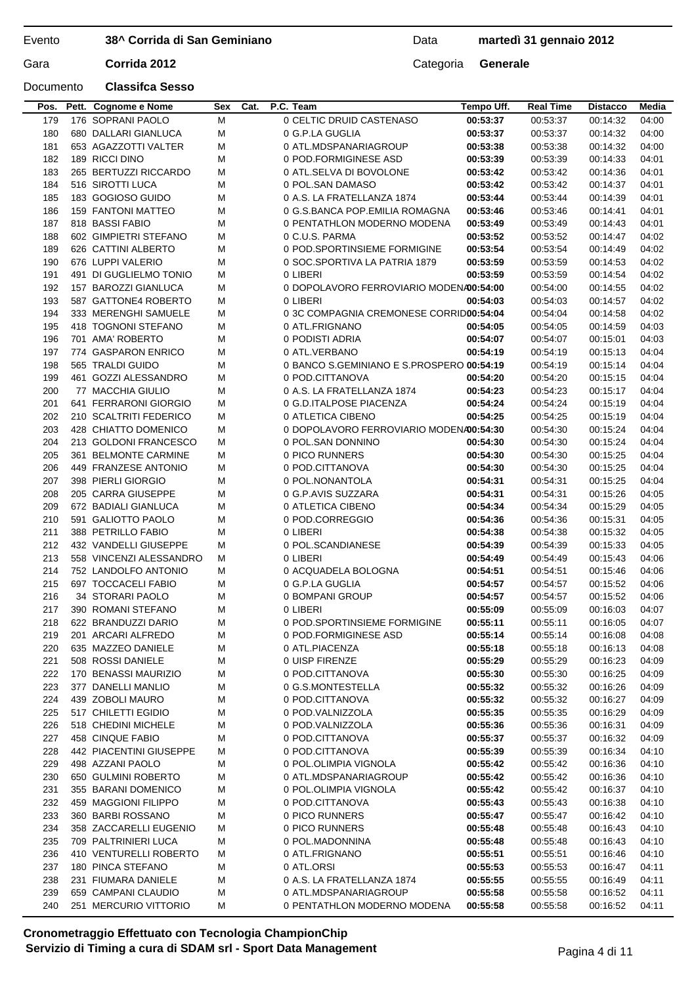### Evento

**38^ Corrida di San Geminiano**

Data **martedì 31 gennaio 2012**

Gara **Corrida 2012** Categoria **Generale** 

### Documento **Classifca Sesso**

| 186        | 159 FANTONI MATTEO                             | М      | 0 G.S.BANCA POP.EMILIA ROMAGNA                            | 00:53:46             | 00:53:46             | 00:14:41             | 04:01          |
|------------|------------------------------------------------|--------|-----------------------------------------------------------|----------------------|----------------------|----------------------|----------------|
| 187        | 818 BASSI FABIO                                | M      | 0 PENTATHLON MODERNO MODENA                               | 00:53:49             | 00:53:49             | 00:14:43             | 04:01          |
| 188        | 602 GIMPIETRI STEFANO                          | M      | 0 C.U.S. PARMA                                            | 00:53:52             | 00:53:52             | 00:14:47             | 04:02          |
| 189        | 626 CATTINI ALBERTO                            | M      | 0 POD.SPORTINSIEME FORMIGINE                              | 00:53:54             | 00:53:54             | 00:14:49             | 04:02          |
| 190        | 676 LUPPI VALERIO                              | М      | 0 SOC.SPORTIVA LA PATRIA 1879                             | 00:53:59             | 00:53:59             | 00:14:53             | 04:02          |
| 191        | 491 DI GUGLIELMO TONIO                         | М      | 0 LIBERI                                                  | 00:53:59             | 00:53:59             | 00:14:54             | 04:02          |
| 192        | 157 BAROZZI GIANLUCA                           | м      | 0 DOPOLAVORO FERROVIARIO MODENA00:54:00                   |                      | 00:54:00             | 00:14:55             | 04:02          |
| 193        | 587 GATTONE4 ROBERTO                           | м      | 0 LIBERI                                                  | 00:54:03             | 00:54:03             | 00:14:57             | 04:02          |
| 194<br>195 | 333 MERENGHI SAMUELE<br>418 TOGNONI STEFANO    | М<br>М | 0 3C COMPAGNIA CREMONESE CORRID00:54:04<br>0 ATL.FRIGNANO | 00:54:05             | 00:54:04<br>00:54:05 | 00:14:58<br>00:14:59 | 04:02<br>04:03 |
| 196        | 701 AMA' ROBERTO                               | M      | 0 PODISTI ADRIA                                           | 00:54:07             | 00:54:07             | 00:15:01             | 04:03          |
| 197        | 774 GASPARON ENRICO                            | M      | 0 ATL.VERBANO                                             | 00:54:19             | 00:54:19             | 00:15:13             | 04:04          |
| 198        | 565 TRALDI GUIDO                               | М      | 0 BANCO S.GEMINIANO E S.PROSPERO 00:54:19                 |                      | 00:54:19             | 00:15:14             | 04:04          |
| 199        | 461 GOZZI ALESSANDRO                           | М      | 0 POD.CITTANOVA                                           | 00:54:20             | 00:54:20             | 00:15:15             | 04:04          |
| 200        | 77 MACCHIA GIULIO                              | М      | 0 A.S. LA FRATELLANZA 1874                                | 00:54:23             | 00:54:23             | 00:15:17             | 04:04          |
| 201        | 641 FERRARONI GIORGIO                          | M      | 0 G.D. ITALPOSE PIACENZA                                  | 00:54:24             | 00:54:24             | 00:15:19             | 04:04          |
| 202        | 210 SCALTRITI FEDERICO                         | м      | 0 ATLETICA CIBENO                                         | 00:54:25             | 00:54:25             | 00:15:19             | 04:04          |
| 203        | 428 CHIATTO DOMENICO                           | М      | 0 DOPOLAVORO FERROVIARIO MODENA00:54:30                   |                      | 00:54:30             | 00:15:24             | 04:04          |
| 204        | 213 GOLDONI FRANCESCO                          | М      | 0 POL.SAN DONNINO                                         | 00:54:30             | 00:54:30             | 00:15:24             | 04:04          |
| 205        | 361 BELMONTE CARMINE                           | М      | 0 PICO RUNNERS                                            | 00:54:30             | 00:54:30             | 00:15:25             | 04:04          |
| 206<br>207 | 449 FRANZESE ANTONIO<br>398 PIERLI GIORGIO     | M      | 0 POD.CITTANOVA<br>0 POL.NONANTOLA                        | 00:54:30             | 00:54:30             | 00:15:25             | 04:04<br>04:04 |
| 208        | 205 CARRA GIUSEPPE                             | M<br>М | 0 G.P.AVIS SUZZARA                                        | 00:54:31<br>00:54:31 | 00:54:31<br>00:54:31 | 00:15:25<br>00:15:26 | 04:05          |
| 209        | 672 BADIALI GIANLUCA                           | M      | 0 ATLETICA CIBENO                                         | 00:54:34             | 00:54:34             | 00:15:29             | 04:05          |
| 210        | 591 GALIOTTO PAOLO                             | М      | 0 POD.CORREGGIO                                           | 00:54:36             | 00:54:36             | 00:15:31             | 04:05          |
| 211        | 388 PETRILLO FABIO                             | м      | 0 LIBERI                                                  | 00:54:38             | 00:54:38             | 00:15:32             | 04:05          |
| 212        | 432 VANDELLI GIUSEPPE                          | М      | 0 POL.SCANDIANESE                                         | 00:54:39             | 00:54:39             | 00:15:33             | 04:05          |
| 213        | 558 VINCENZI ALESSANDRO                        | м      | 0 LIBERI                                                  | 00:54:49             | 00:54:49             | 00:15:43             | 04:06          |
| 214        | 752 LANDOLFO ANTONIO                           | М      | 0 ACQUADELA BOLOGNA                                       | 00:54:51             | 00:54:51             | 00:15:46             | 04:06          |
| 215        | 697 TOCCACELI FABIO                            | M      | 0 G.P.LA GUGLIA                                           | 00:54:57             | 00:54:57             | 00:15:52             | 04:06          |
| 216        | 34 STORARI PAOLO                               | M      | 0 BOMPANI GROUP                                           | 00:54:57             | 00:54:57             | 00:15:52             | 04:06          |
| 217        | 390 ROMANI STEFANO                             | М      | 0 LIBERI                                                  | 00:55:09             | 00:55:09             | 00:16:03             | 04:07          |
| 218        | 622 BRANDUZZI DARIO                            | М      | 0 POD.SPORTINSIEME FORMIGINE                              | 00:55:11             | 00:55:11             | 00:16:05             | 04:07          |
| 219        | 201 ARCARI ALFREDO                             | M      | 0 POD.FORMIGINESE ASD                                     | 00:55:14             | 00:55:14             | 00:16:08             | 04:08          |
| 220        | 635 MAZZEO DANIELE                             | M      | 0 ATL.PIACENZA                                            | 00:55:18             | 00:55:18             | 00:16:13             | 04:08          |
| 221<br>222 | 508 ROSSI DANIELE<br>170 BENASSI MAURIZIO      | M<br>M | 0 UISP FIRENZE<br>0 POD.CITTANOVA                         | 00:55:29<br>00:55:30 | 00:55:29<br>00:55:30 | 00:16:23<br>00:16:25 | 04:09<br>04:09 |
| 223        | 377 DANELLI MANLIO                             | M      | 0 G.S.MONTESTELLA                                         | 00:55:32             | 00:55:32             | 00:16:26             | 04:09          |
| 224        | 439 ZOBOLI MAURO                               | M      | 0 POD.CITTANOVA                                           | 00:55:32             | 00:55:32             | 00:16:27             | 04:09          |
| 225        | 517 CHILETTI EGIDIO                            | M      | 0 POD.VALNIZZOLA                                          | 00:55:35             | 00:55:35             | 00:16:29             | 04:09          |
| 226        | 518 CHEDINI MICHELE                            | M      | 0 POD.VALNIZZOLA                                          | 00:55:36             | 00:55:36             | 00:16:31             | 04:09          |
| 227        | 458 CINQUE FABIO                               | M      | 0 POD.CITTANOVA                                           | 00:55:37             | 00:55:37             | 00:16:32             | 04:09          |
| 228        | 442 PIACENTINI GIUSEPPE                        | M      | 0 POD.CITTANOVA                                           | 00:55:39             | 00:55:39             | 00:16:34             | 04:10          |
| 229        | 498 AZZANI PAOLO                               | M      | 0 POL.OLIMPIA VIGNOLA                                     | 00:55:42             | 00:55:42             | 00:16:36             | 04:10          |
| 230        | 650 GULMINI ROBERTO                            | M      | 0 ATL.MDSPANARIAGROUP                                     | 00:55:42             | 00:55:42             | 00:16:36             | 04:10          |
| 231        | 355 BARANI DOMENICO                            | M      | 0 POL.OLIMPIA VIGNOLA                                     | 00:55:42             | 00:55:42             | 00:16:37             | 04:10          |
| 232        | 459 MAGGIONI FILIPPO                           | M      | 0 POD.CITTANOVA                                           | 00:55:43             | 00:55:43             | 00:16:38             | 04:10          |
| 233        | 360 BARBI ROSSANO                              | M      | 0 PICO RUNNERS                                            | 00:55:47             | 00:55:47             | 00:16:42             | 04:10          |
| 234<br>235 | 358 ZACCARELLI EUGENIO<br>709 PALTRINIERI LUCA | M      | 0 PICO RUNNERS<br>0 POL.MADONNINA                         | 00:55:48             | 00:55:48             | 00:16:43             | 04:10          |
| 236        | 410 VENTURELLI ROBERTO                         | M<br>M | 0 ATL.FRIGNANO                                            | 00:55:48<br>00:55:51 | 00:55:48<br>00:55:51 | 00:16:43<br>00:16:46 | 04:10<br>04:10 |
|            |                                                |        |                                                           | 00:55:53             | 00:55:53             | 00:16:47             | 04:11          |
|            |                                                |        |                                                           |                      |                      |                      |                |
| 237        | 180 PINCA STEFANO                              | M      | 0 ATL.ORSI                                                |                      |                      |                      |                |
| 238<br>239 | 231 FIUMARA DANIELE<br>659 CAMPANI CLAUDIO     | M<br>M | 0 A.S. LA FRATELLANZA 1874<br>0 ATL.MDSPANARIAGROUP       | 00:55:55<br>00:55:58 | 00:55:55<br>00:55:58 | 00:16:49<br>00:16:52 | 04:11<br>04:11 |

**Pos. Pett. Cognome e Nome Sex Cat. P.C. Team Tempo Uff. Real Time Distacco Media**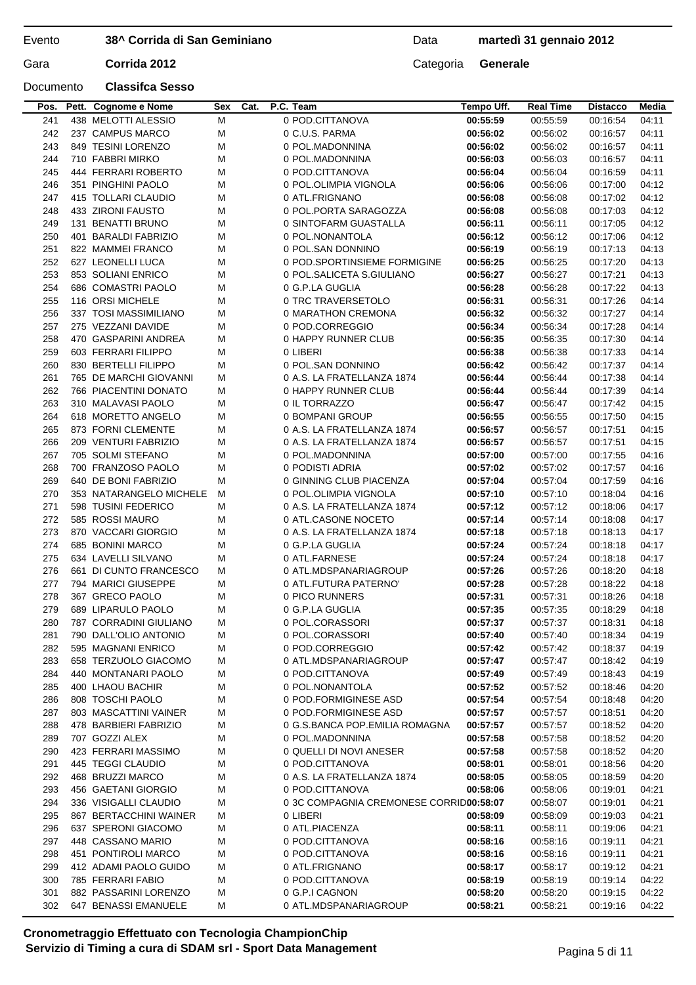Data **martedì 31 gennaio 2012**

## Documento **Classifca Sesso**

| Pos. | Pett. Cognome e Nome    | Sex    | Cat. | P.C. Team                               | Tempo Uff. | <b>Real Time</b> | <b>Distacco</b> | Media |
|------|-------------------------|--------|------|-----------------------------------------|------------|------------------|-----------------|-------|
| 241  | 438 MELOTTI ALESSIO     | М      |      | 0 POD.CITTANOVA                         | 00:55:59   | 00:55:59         | 00:16:54        | 04:11 |
| 242  | 237 CAMPUS MARCO        | M      |      | 0 C.U.S. PARMA                          | 00:56:02   | 00:56:02         | 00:16:57        | 04:11 |
| 243  | 849 TESINI LORENZO      | M      |      | 0 POL.MADONNINA                         | 00:56:02   | 00:56:02         | 00:16:57        | 04:11 |
| 244  | 710 FABBRI MIRKO        | M      |      | 0 POL.MADONNINA                         | 00:56:03   | 00:56:03         | 00:16:57        | 04:11 |
| 245  | 444 FERRARI ROBERTO     | M      |      | 0 POD.CITTANOVA                         | 00:56:04   | 00:56:04         | 00:16:59        | 04:11 |
| 246  | 351 PINGHINI PAOLO      | M      |      | 0 POL.OLIMPIA VIGNOLA                   | 00:56:06   | 00:56:06         | 00:17:00        | 04:12 |
| 247  | 415 TOLLARI CLAUDIO     | M      |      | 0 ATL.FRIGNANO                          | 00:56:08   | 00:56:08         | 00:17:02        | 04:12 |
| 248  | 433 ZIRONI FAUSTO       | M      |      | 0 POL.PORTA SARAGOZZA                   | 00:56:08   | 00:56:08         | 00:17:03        | 04:12 |
| 249  | 131 BENATTI BRUNO       | M      |      | 0 SINTOFARM GUASTALLA                   | 00:56:11   | 00:56:11         | 00:17:05        | 04:12 |
| 250  | 401 BARALDI FABRIZIO    | M      |      | 0 POL.NONANTOLA                         | 00:56:12   | 00:56:12         | 00:17:06        | 04:12 |
| 251  | 822 MAMMEI FRANCO       | M      |      | 0 POL.SAN DONNINO                       | 00:56:19   | 00:56:19         | 00:17:13        | 04:13 |
| 252  | 627 LEONELLI LUCA       | M      |      | 0 POD.SPORTINSIEME FORMIGINE            | 00:56:25   | 00:56:25         | 00:17:20        | 04:13 |
| 253  | 853 SOLIANI ENRICO      | M      |      | 0 POL.SALICETA S.GIULIANO               | 00:56:27   | 00:56:27         | 00:17:21        | 04:13 |
| 254  | 686 COMASTRI PAOLO      | M      |      | 0 G.P.LA GUGLIA                         | 00:56:28   | 00:56:28         | 00:17:22        | 04:13 |
| 255  | 116 ORSI MICHELE        | M      |      | 0 TRC TRAVERSETOLO                      | 00:56:31   | 00:56:31         | 00:17:26        | 04:14 |
| 256  | 337 TOSI MASSIMILIANO   | M      |      | 0 MARATHON CREMONA                      | 00:56:32   | 00:56:32         | 00:17:27        | 04:14 |
| 257  | 275 VEZZANI DAVIDE      |        |      | 0 POD.CORREGGIO                         |            | 00:56:34         | 00:17:28        | 04:14 |
|      |                         | М      |      |                                         | 00:56:34   |                  |                 |       |
| 258  | 470 GASPARINI ANDREA    | М      |      | 0 HAPPY RUNNER CLUB                     | 00:56:35   | 00:56:35         | 00:17:30        | 04:14 |
| 259  | 603 FERRARI FILIPPO     | M      |      | 0 LIBERI                                | 00:56:38   | 00:56:38         | 00:17:33        | 04:14 |
| 260  | 830 BERTELLI FILIPPO    | M      |      | 0 POL.SAN DONNINO                       | 00:56:42   | 00:56:42         | 00:17:37        | 04:14 |
| 261  | 765 DE MARCHI GIOVANNI  | М      |      | 0 A.S. LA FRATELLANZA 1874              | 00:56:44   | 00:56:44         | 00:17:38        | 04:14 |
| 262  | 766 PIACENTINI DONATO   | М      |      | 0 HAPPY RUNNER CLUB                     | 00:56:44   | 00:56:44         | 00:17:39        | 04:14 |
| 263  | 310 MALAVASI PAOLO      | М      |      | 0 IL TORRAZZO                           | 00:56:47   | 00:56:47         | 00:17:42        | 04:15 |
| 264  | 618 MORETTO ANGELO      | М      |      | 0 BOMPANI GROUP                         | 00:56:55   | 00:56:55         | 00:17:50        | 04:15 |
| 265  | 873 FORNI CLEMENTE      | M      |      | 0 A.S. LA FRATELLANZA 1874              | 00:56:57   | 00:56:57         | 00:17:51        | 04:15 |
| 266  | 209 VENTURI FABRIZIO    | M      |      | 0 A.S. LA FRATELLANZA 1874              | 00:56:57   | 00:56:57         | 00:17:51        | 04:15 |
| 267  | 705 SOLMI STEFANO       | M      |      | 0 POL.MADONNINA                         | 00:57:00   | 00:57:00         | 00:17:55        | 04:16 |
| 268  | 700 FRANZOSO PAOLO      | M      |      | 0 PODISTI ADRIA                         | 00:57:02   | 00:57:02         | 00:17:57        | 04:16 |
| 269  | 640 DE BONI FABRIZIO    | м      |      | 0 GINNING CLUB PIACENZA                 | 00:57:04   | 00:57:04         | 00:17:59        | 04:16 |
| 270  | 353 NATARANGELO MICHELE | м      |      | 0 POL.OLIMPIA VIGNOLA                   | 00:57:10   | 00:57:10         | 00:18:04        | 04:16 |
| 271  | 598 TUSINI FEDERICO     | м      |      | 0 A.S. LA FRATELLANZA 1874              | 00:57:12   | 00:57:12         | 00:18:06        | 04:17 |
| 272  | 585 ROSSI MAURO         | М      |      | 0 ATL.CASONE NOCETO                     | 00:57:14   | 00:57:14         | 00:18:08        | 04:17 |
| 273  | 870 VACCARI GIORGIO     | M      |      | 0 A.S. LA FRATELLANZA 1874              | 00:57:18   | 00:57:18         | 00:18:13        | 04:17 |
| 274  | 685 BONINI MARCO        | M      |      | 0 G.P.LA GUGLIA                         | 00:57:24   | 00:57:24         | 00:18:18        | 04:17 |
| 275  | 634 LAVELLI SILVANO     | М      |      | 0 ATL.FARNESE                           | 00:57:24   | 00:57:24         | 00:18:18        | 04:17 |
| 276  | 661 DI CUNTO FRANCESCO  | м      |      | 0 ATL.MDSPANARIAGROUP                   | 00:57:26   | 00:57:26         | 00:18:20        | 04:18 |
| 277  | 794 MARICI GIUSEPPE     | M      |      | 0 ATL.FUTURA PATERNO'                   | 00:57:28   | 00:57:28         | 00:18:22        | 04:18 |
| 278  | 367 GRECO PAOLO         | M      |      | 0 PICO RUNNERS                          | 00:57:31   | 00:57:31         | 00:18:26        | 04:18 |
| 279  | 689 LIPARULO PAOLO      | М      |      | 0 G.P.LA GUGLIA                         | 00:57:35   | 00:57:35         | 00:18:29        | 04:18 |
| 280  | 787 CORRADINI GIULIANO  | м      |      | 0 POL.CORASSORI                         | 00:57:37   | 00:57:37         | 00:18:31        | 04:18 |
| 281  | 790 DALL'OLIO ANTONIO   | м      |      | 0 POL.CORASSORI                         | 00:57:40   | 00:57:40         | 00:18:34        | 04:19 |
| 282  | 595 MAGNANI ENRICO      | М      |      | 0 POD.CORREGGIO                         | 00:57:42   | 00:57:42         | 00:18:37        | 04:19 |
| 283  | 658 TERZUOLO GIACOMO    | М      |      | 0 ATL.MDSPANARIAGROUP                   | 00:57:47   | 00:57:47         | 00:18:42        | 04:19 |
| 284  | 440 MONTANARI PAOLO     | М      |      | 0 POD.CITTANOVA                         | 00:57:49   | 00:57:49         | 00:18:43        | 04:19 |
| 285  | 400 LHAOU BACHIR        | М      |      | 0 POL.NONANTOLA                         | 00:57:52   | 00:57:52         | 00:18:46        | 04:20 |
| 286  | 808 TOSCHI PAOLO        | М      |      | 0 POD.FORMIGINESE ASD                   | 00:57:54   | 00:57:54         | 00:18:48        | 04:20 |
| 287  | 803 MASCATTINI VAINER   | M      |      | 0 POD.FORMIGINESE ASD                   | 00:57:57   | 00:57:57         | 00:18:51        | 04:20 |
| 288  | 478 BARBIERI FABRIZIO   | М      |      | 0 G.S.BANCA POP.EMILIA ROMAGNA          | 00:57:57   | 00:57:57         | 00:18:52        | 04:20 |
| 289  | 707 GOZZI ALEX          | М      |      | 0 POL.MADONNINA                         | 00:57:58   | 00:57:58         | 00:18:52        | 04:20 |
| 290  | 423 FERRARI MASSIMO     | М      |      | 0 QUELLI DI NOVI ANESER                 | 00:57:58   | 00:57:58         | 00:18:52        | 04:20 |
| 291  | 445 TEGGI CLAUDIO       | М      |      | 0 POD.CITTANOVA                         | 00:58:01   | 00:58:01         | 00:18:56        | 04:20 |
| 292  | 468 BRUZZI MARCO        | M      |      | 0 A.S. LA FRATELLANZA 1874              | 00:58:05   | 00:58:05         | 00:18:59        | 04:20 |
| 293  | 456 GAETANI GIORGIO     | M      |      | 0 POD.CITTANOVA                         | 00:58:06   | 00:58:06         | 00:19:01        | 04:21 |
| 294  | 336 VISIGALLI CLAUDIO   | M      |      | 0 3C COMPAGNIA CREMONESE CORRID00:58:07 |            | 00:58:07         | 00:19:01        | 04:21 |
| 295  | 867 BERTACCHINI WAINER  | M      |      | 0 LIBERI                                | 00:58:09   | 00:58:09         | 00:19:03        | 04:21 |
| 296  | 637 SPERONI GIACOMO     | М      |      | 0 ATL.PIACENZA                          | 00:58:11   | 00:58:11         | 00:19:06        | 04:21 |
| 297  | 448 CASSANO MARIO       | М      |      | 0 POD.CITTANOVA                         | 00:58:16   | 00:58:16         | 00:19:11        | 04:21 |
| 298  | 451 PONTIROLI MARCO     | М      |      | 0 POD.CITTANOVA                         | 00:58:16   | 00:58:16         | 00:19:11        | 04:21 |
| 299  | 412 ADAMI PAOLO GUIDO   |        |      | 0 ATL.FRIGNANO                          | 00:58:17   | 00:58:17         | 00:19:12        | 04:21 |
| 300  | 785 FERRARI FABIO       | M<br>М |      | 0 POD.CITTANOVA                         | 00:58:19   | 00:58:19         | 00:19:14        | 04:22 |
| 301  | 882 PASSARINI LORENZO   |        |      | 0 G.P.I CAGNON                          |            |                  |                 |       |
|      |                         | М      |      |                                         | 00:58:20   | 00:58:20         | 00:19:15        | 04:22 |
| 302  | 647 BENASSI EMANUELE    | м      |      | 0 ATL.MDSPANARIAGROUP                   | 00:58:21   | 00:58:21         | 00:19:16        | 04:22 |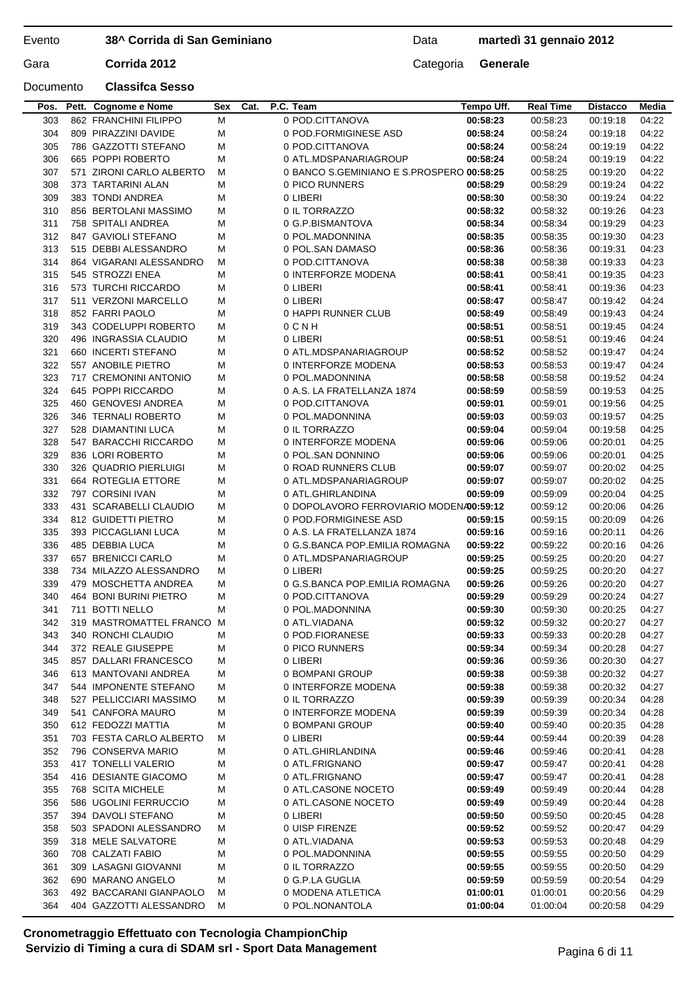Data **martedì 31 gennaio 2012**

## Documento **Classifca Sesso**

|     | Pos. Pett. Cognome e Nome | Sex | Cat. | P.C. Team                                 | Tempo Uff. | <b>Real Time</b> | <b>Distacco</b> | Media |
|-----|---------------------------|-----|------|-------------------------------------------|------------|------------------|-----------------|-------|
| 303 | 862 FRANCHINI FILIPPO     | M   |      | 0 POD.CITTANOVA                           | 00:58:23   | 00:58:23         | 00:19:18        | 04:22 |
| 304 | 809 PIRAZZINI DAVIDE      | м   |      | 0 POD.FORMIGINESE ASD                     | 00:58:24   | 00:58:24         | 00:19:18        | 04:22 |
| 305 | 786 GAZZOTTI STEFANO      | M   |      | 0 POD.CITTANOVA                           | 00:58:24   | 00:58:24         | 00:19:19        | 04:22 |
| 306 | 665 POPPI ROBERTO         | м   |      | 0 ATL.MDSPANARIAGROUP                     | 00:58:24   | 00:58:24         | 00:19:19        | 04:22 |
| 307 | 571 ZIRONI CARLO ALBERTO  | м   |      | 0 BANCO S.GEMINIANO E S.PROSPERO 00:58:25 |            | 00:58:25         | 00:19:20        | 04:22 |
| 308 | 373 TARTARINI ALAN        | м   |      | 0 PICO RUNNERS                            | 00:58:29   | 00:58:29         | 00:19:24        | 04:22 |
| 309 | 383 TONDI ANDREA          | м   |      | 0 LIBERI                                  | 00:58:30   | 00:58:30         | 00:19:24        | 04:22 |
|     |                           |     |      |                                           |            |                  |                 |       |
| 310 | 856 BERTOLANI MASSIMO     | м   |      | 0 IL TORRAZZO                             | 00:58:32   | 00:58:32         | 00:19:26        | 04:23 |
| 311 | 758 SPITALI ANDREA        | M   |      | 0 G.P.BISMANTOVA                          | 00:58:34   | 00:58:34         | 00:19:29        | 04:23 |
| 312 | 847 GAVIOLI STEFANO       | м   |      | 0 POL.MADONNINA                           | 00:58:35   | 00:58:35         | 00:19:30        | 04:23 |
| 313 | 515 DEBBI ALESSANDRO      | м   |      | 0 POL.SAN DAMASO                          | 00:58:36   | 00:58:36         | 00:19:31        | 04:23 |
| 314 | 864 VIGARANI ALESSANDRO   | м   |      | 0 POD.CITTANOVA                           | 00:58:38   | 00:58:38         | 00:19:33        | 04:23 |
| 315 | 545 STROZZI ENEA          | м   |      | 0 INTERFORZE MODENA                       | 00:58:41   | 00:58:41         | 00:19:35        | 04:23 |
| 316 | 573 TURCHI RICCARDO       | м   |      | 0 LIBERI                                  | 00:58:41   | 00:58:41         | 00:19:36        | 04:23 |
| 317 | 511 VERZONI MARCELLO      | M   |      | 0 LIBERI                                  | 00:58:47   | 00:58:47         | 00:19:42        | 04:24 |
| 318 | 852 FARRI PAOLO           | м   |      | 0 HAPPI RUNNER CLUB                       | 00:58:49   | 00:58:49         | 00:19:43        | 04:24 |
| 319 | 343 CODELUPPI ROBERTO     | м   |      | 0 C N H                                   | 00:58:51   | 00:58:51         | 00:19:45        | 04:24 |
| 320 | 496 INGRASSIA CLAUDIO     | M   |      | 0 LIBERI                                  | 00:58:51   | 00:58:51         | 00:19:46        | 04:24 |
| 321 | 660 INCERTI STEFANO       | M   |      | 0 ATL.MDSPANARIAGROUP                     | 00:58:52   | 00:58:52         | 00:19:47        | 04:24 |
| 322 | 557 ANOBILE PIETRO        | M   |      | 0 INTERFORZE MODENA                       | 00:58:53   | 00:58:53         | 00:19:47        | 04:24 |
| 323 | 717 CREMONINI ANTONIO     | M   |      | 0 POL.MADONNINA                           | 00:58:58   | 00:58:58         | 00:19:52        | 04:24 |
|     | 645 POPPI RICCARDO        |     |      |                                           |            |                  |                 |       |
| 324 |                           | м   |      | 0 A.S. LA FRATELLANZA 1874                | 00:58:59   | 00:58:59         | 00:19:53        | 04:25 |
| 325 | 460 GENOVESI ANDREA       | м   |      | 0 POD.CITTANOVA                           | 00:59:01   | 00:59:01         | 00:19:56        | 04:25 |
| 326 | 346 TERNALI ROBERTO       | M   |      | 0 POL.MADONNINA                           | 00:59:03   | 00:59:03         | 00:19:57        | 04:25 |
| 327 | 528 DIAMANTINI LUCA       | м   |      | 0 IL TORRAZZO                             | 00:59:04   | 00:59:04         | 00:19:58        | 04:25 |
| 328 | 547 BARACCHI RICCARDO     | м   |      | 0 INTERFORZE MODENA                       | 00:59:06   | 00:59:06         | 00:20:01        | 04:25 |
| 329 | 836 LORI ROBERTO          | M   |      | 0 POL.SAN DONNINO                         | 00:59:06   | 00:59:06         | 00:20:01        | 04:25 |
| 330 | 326 QUADRIO PIERLUIGI     | M   |      | 0 ROAD RUNNERS CLUB                       | 00:59:07   | 00:59:07         | 00:20:02        | 04:25 |
| 331 | 664 ROTEGLIA ETTORE       | м   |      | 0 ATL.MDSPANARIAGROUP                     | 00:59:07   | 00:59:07         | 00:20:02        | 04:25 |
| 332 | 797 CORSINI IVAN          | M   |      | 0 ATL.GHIRLANDINA                         | 00:59:09   | 00:59:09         | 00:20:04        | 04:25 |
| 333 | 431 SCARABELLI CLAUDIO    | м   |      | 0 DOPOLAVORO FERROVIARIO MODENA00:59:12   |            | 00:59:12         | 00:20:06        | 04:26 |
| 334 | 812 GUIDETTI PIETRO       | м   |      | 0 POD.FORMIGINESE ASD                     | 00:59:15   | 00:59:15         | 00:20:09        | 04:26 |
| 335 | 393 PICCAGLIANI LUCA      | M   |      | 0 A.S. LA FRATELLANZA 1874                | 00:59:16   | 00:59:16         | 00:20:11        | 04:26 |
| 336 | 485 DEBBIA LUCA           | м   |      | 0 G.S.BANCA POP.EMILIA ROMAGNA            | 00:59:22   | 00:59:22         | 00:20:16        | 04:26 |
| 337 | 657 BRENICCI CARLO        | м   |      | 0 ATL.MDSPANARIAGROUP                     | 00:59:25   | 00:59:25         | 00:20:20        | 04:27 |
| 338 | 734 MILAZZO ALESSANDRO    | м   |      | 0 LIBERI                                  | 00:59:25   | 00:59:25         | 00:20:20        | 04:27 |
| 339 | 479 MOSCHETTA ANDREA      | м   |      | 0 G.S.BANCA POP.EMILIA ROMAGNA            | 00:59:26   | 00:59:26         | 00:20:20        | 04:27 |
|     | 464 BONI BURINI PIETRO    |     |      | 0 POD.CITTANOVA                           |            |                  |                 |       |
| 340 |                           | м   |      |                                           | 00:59:29   | 00:59:29         | 00:20:24        | 04:27 |
| 341 | 711 BOTTI NELLO           | M   |      | 0 POL.MADONNINA                           | 00:59:30   | 00:59:30         | 00:20:25        | 04:27 |
| 342 | 319 MASTROMATTEL FRANCO M |     |      | 0 ATL.VIADANA                             | 00:59:32   | 00:59:32         | 00:20:27        | 04:27 |
| 343 | 340 RONCHI CLAUDIO        | м   |      | 0 POD.FIORANESE                           | 00:59:33   | 00:59:33         | 00:20:28        | 04:27 |
| 344 | 372 REALE GIUSEPPE        | M   |      | 0 PICO RUNNERS                            | 00:59:34   | 00:59:34         | 00:20:28        | 04:27 |
| 345 | 857 DALLARI FRANCESCO     | M   |      | 0 LIBERI                                  | 00:59:36   | 00:59:36         | 00:20:30        | 04:27 |
| 346 | 613 MANTOVANI ANDREA      | M   |      | 0 BOMPANI GROUP                           | 00:59:38   | 00:59:38         | 00:20:32        | 04:27 |
| 347 | 544 IMPONENTE STEFANO     | M   |      | 0 INTERFORZE MODENA                       | 00:59:38   | 00:59:38         | 00:20:32        | 04:27 |
| 348 | 527 PELLICCIARI MASSIMO   | м   |      | 0 IL TORRAZZO                             | 00:59:39   | 00:59:39         | 00:20:34        | 04:28 |
| 349 | 541 CANFORA MAURO         | М   |      | 0 INTERFORZE MODENA                       | 00:59:39   | 00:59:39         | 00:20:34        | 04:28 |
| 350 | 612 FEDOZZI MATTIA        | M   |      | 0 BOMPANI GROUP                           | 00:59:40   | 00:59:40         | 00:20:35        | 04:28 |
| 351 | 703 FESTA CARLO ALBERTO   | м   |      | 0 LIBERI                                  | 00:59:44   | 00:59:44         | 00:20:39        | 04:28 |
| 352 | 796 CONSERVA MARIO        | м   |      | 0 ATL.GHIRLANDINA                         | 00:59:46   | 00:59:46         | 00:20:41        | 04:28 |
| 353 | 417 TONELLI VALERIO       | м   |      | 0 ATL.FRIGNANO                            | 00:59:47   | 00:59:47         | 00:20:41        | 04:28 |
| 354 | 416 DESIANTE GIACOMO      |     |      | 0 ATL.FRIGNANO                            | 00:59:47   | 00:59:47         | 00:20:41        | 04:28 |
|     |                           | M   |      |                                           |            |                  |                 |       |
| 355 | 768 SCITA MICHELE         | M   |      | 0 ATL.CASONE NOCETO                       | 00:59:49   | 00:59:49         | 00:20:44        | 04:28 |
| 356 | 586 UGOLINI FERRUCCIO     | M   |      | 0 ATL.CASONE NOCETO                       | 00:59:49   | 00:59:49         | 00:20:44        | 04:28 |
| 357 | 394 DAVOLI STEFANO        | M   |      | 0 LIBERI                                  | 00:59:50   | 00:59:50         | 00:20:45        | 04:28 |
| 358 | 503 SPADONI ALESSANDRO    | M   |      | 0 UISP FIRENZE                            | 00:59:52   | 00:59:52         | 00:20:47        | 04:29 |
| 359 | 318 MELE SALVATORE        | M   |      | 0 ATL.VIADANA                             | 00:59:53   | 00:59:53         | 00:20:48        | 04:29 |
| 360 | 708 CALZATI FABIO         | M   |      | 0 POL.MADONNINA                           | 00:59:55   | 00:59:55         | 00:20:50        | 04:29 |
| 361 | 309 LASAGNI GIOVANNI      | м   |      | 0 IL TORRAZZO                             | 00:59:55   | 00:59:55         | 00:20:50        | 04:29 |
| 362 | 690 MARANO ANGELO         | M   |      | 0 G.P.LA GUGLIA                           | 00:59:59   | 00:59:59         | 00:20:54        | 04:29 |
| 363 | 492 BACCARANI GIANPAOLO   | M   |      | 0 MODENA ATLETICA                         | 01:00:01   | 01:00:01         | 00:20:56        | 04:29 |
| 364 | 404 GAZZOTTI ALESSANDRO   | м   |      | 0 POL.NONANTOLA                           | 01:00:04   | 01:00:04         | 00:20:58        | 04:29 |
|     |                           |     |      |                                           |            |                  |                 |       |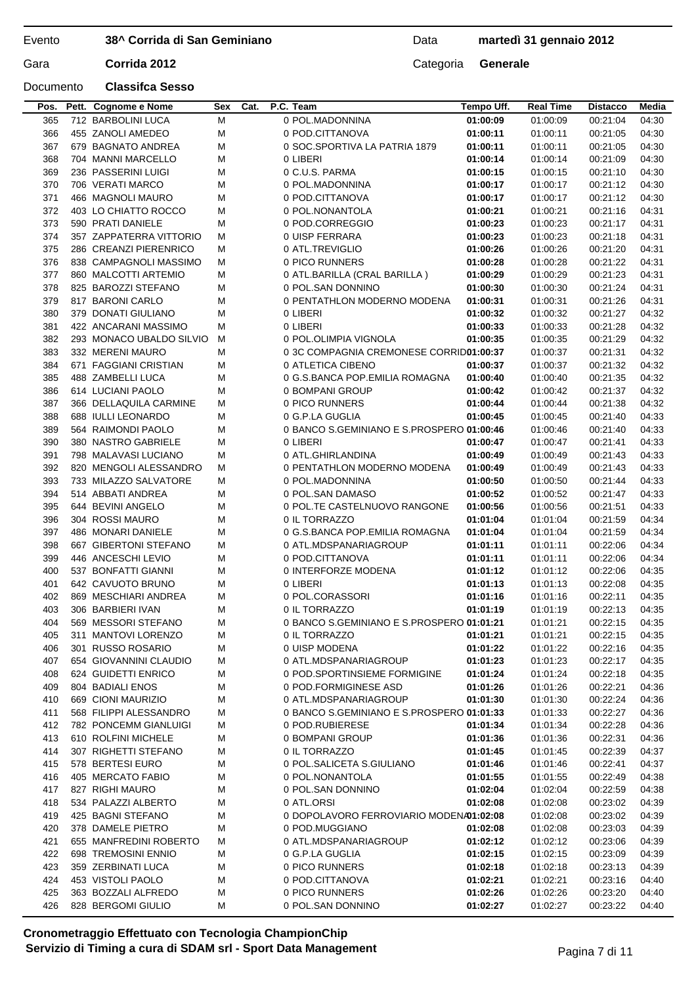Data **martedì 31 gennaio 2012**

## Documento **Classifca Sesso**

| Pos.       | Pett. Cognome e Nome                   | Sex | Cat. | P.C. Team                                 | Tempo Uff. | <b>Real Time</b> | <b>Distacco</b> | Media |
|------------|----------------------------------------|-----|------|-------------------------------------------|------------|------------------|-----------------|-------|
| 365        | 712 BARBOLINI LUCA                     | M   |      | 0 POL.MADONNINA                           | 01:00:09   | 01:00:09         | 00:21:04        | 04:30 |
| 366        | 455 ZANOLI AMEDEO                      | M   |      | 0 POD.CITTANOVA                           | 01:00:11   | 01:00:11         | 00:21:05        | 04:30 |
| 367        | 679 BAGNATO ANDREA                     | M   |      | 0 SOC.SPORTIVA LA PATRIA 1879             | 01:00:11   | 01:00:11         | 00:21:05        | 04:30 |
| 368        | 704 MANNI MARCELLO                     | М   |      | 0 LIBERI                                  | 01:00:14   | 01:00:14         | 00:21:09        | 04:30 |
| 369        | 236 PASSERINI LUIGI                    | M   |      | 0 C.U.S. PARMA                            | 01:00:15   | 01:00:15         | 00:21:10        | 04:30 |
| 370        | 706 VERATI MARCO                       | M   |      | 0 POL.MADONNINA                           | 01:00:17   | 01:00:17         | 00:21:12        | 04:30 |
| 371        | 466 MAGNOLI MAURO                      | М   |      | 0 POD.CITTANOVA                           | 01:00:17   | 01:00:17         | 00:21:12        | 04:30 |
| 372        | 403 LO CHIATTO ROCCO                   | М   |      | 0 POL.NONANTOLA                           | 01:00:21   | 01:00:21         | 00:21:16        | 04:31 |
| 373        | 590 PRATI DANIELE                      | М   |      | 0 POD.CORREGGIO                           | 01:00:23   | 01:00:23         | 00:21:17        | 04:31 |
| 374        | 357 ZAPPATERRA VITTORIO                | м   |      | 0 UISP FERRARA                            | 01:00:23   | 01:00:23         | 00:21:18        | 04:31 |
| 375        | 286 CREANZI PIERENRICO                 | м   |      | 0 ATL.TREVIGLIO                           | 01:00:26   | 01:00:26         | 00:21:20        | 04:31 |
| 376        | 838 CAMPAGNOLI MASSIMO                 | м   |      | 0 PICO RUNNERS                            | 01:00:28   | 01:00:28         | 00:21:22        | 04:31 |
| 377        | 860 MALCOTTI ARTEMIO                   | М   |      | 0 ATL.BARILLA (CRAL BARILLA)              | 01:00:29   | 01:00:29         | 00:21:23        | 04:31 |
| 378        | 825 BAROZZI STEFANO                    | М   |      | 0 POL.SAN DONNINO                         | 01:00:30   | 01:00:30         | 00:21:24        | 04:31 |
| 379        | 817 BARONI CARLO                       | M   |      | 0 PENTATHLON MODERNO MODENA               |            | 01:00:31         | 00:21:26        | 04:31 |
| 380        | 379 DONATI GIULIANO                    | M   |      | 0 LIBERI                                  | 01:00:31   | 01:00:32         | 00:21:27        | 04:32 |
|            |                                        |     |      |                                           | 01:00:32   |                  |                 |       |
| 381        | 422 ANCARANI MASSIMO                   | М   |      | 0 LIBERI                                  | 01:00:33   | 01:00:33         | 00:21:28        | 04:32 |
| 382        | 293 MONACO UBALDO SILVIO               | м   |      | 0 POL.OLIMPIA VIGNOLA                     | 01:00:35   | 01:00:35         | 00:21:29        | 04:32 |
| 383        | 332 MERENI MAURO                       | М   |      | 0 3C COMPAGNIA CREMONESE CORRID01:00:37   |            | 01:00:37         | 00:21:31        | 04:32 |
| 384        | 671 FAGGIANI CRISTIAN                  | М   |      | 0 ATLETICA CIBENO                         | 01:00:37   | 01:00:37         | 00:21:32        | 04:32 |
| 385        | 488 ZAMBELLI LUCA                      | М   |      | 0 G.S.BANCA POP.EMILIA ROMAGNA            | 01:00:40   | 01:00:40         | 00:21:35        | 04:32 |
| 386        | 614 LUCIANI PAOLO                      | М   |      | 0 BOMPANI GROUP                           | 01:00:42   | 01:00:42         | 00:21:37        | 04:32 |
| 387        | 366 DELLAQUILA CARMINE                 | м   |      | 0 PICO RUNNERS                            | 01:00:44   | 01:00:44         | 00:21:38        | 04:32 |
| 388        | 688 IULLI LEONARDO                     | М   |      | 0 G.P.LA GUGLIA                           | 01:00:45   | 01:00:45         | 00:21:40        | 04:33 |
| 389        | 564 RAIMONDI PAOLO                     | М   |      | 0 BANCO S.GEMINIANO E S.PROSPERO 01:00:46 |            | 01:00:46         | 00:21:40        | 04:33 |
| 390        | 380 NASTRO GABRIELE                    | М   |      | 0 LIBERI                                  | 01:00:47   | 01:00:47         | 00:21:41        | 04:33 |
| 391        | 798 MALAVASI LUCIANO                   | М   |      | 0 ATL.GHIRLANDINA                         | 01:00:49   | 01:00:49         | 00:21:43        | 04:33 |
| 392        | 820 MENGOLI ALESSANDRO                 | м   |      | 0 PENTATHLON MODERNO MODENA               | 01:00:49   | 01:00:49         | 00:21:43        | 04:33 |
| 393        | 733 MILAZZO SALVATORE                  | м   |      | 0 POL.MADONNINA                           | 01:00:50   | 01:00:50         | 00:21:44        | 04:33 |
| 394        | 514 ABBATI ANDREA                      | M   |      | 0 POL.SAN DAMASO                          | 01:00:52   | 01:00:52         | 00:21:47        | 04:33 |
| 395        | 644 BEVINI ANGELO                      | M   |      | 0 POL.TE CASTELNUOVO RANGONE              | 01:00:56   | 01:00:56         | 00:21:51        | 04:33 |
| 396        | 304 ROSSI MAURO                        | М   |      | 0 IL TORRAZZO                             | 01:01:04   | 01:01:04         | 00:21:59        | 04:34 |
| 397        | 486 MONARI DANIELE                     | М   |      | 0 G.S.BANCA POP.EMILIA ROMAGNA            | 01:01:04   | 01:01:04         | 00:21:59        | 04:34 |
| 398        | 667 GIBERTONI STEFANO                  | М   |      | 0 ATL.MDSPANARIAGROUP                     | 01:01:11   | 01:01:11         | 00:22:06        | 04:34 |
| 399        | 446 ANCESCHI LEVIO                     | М   |      | 0 POD.CITTANOVA                           | 01:01:11   | 01:01:11         | 00:22:06        | 04:34 |
| 400        | 537 BONFATTI GIANNI                    | M   |      | 0 INTERFORZE MODENA                       | 01:01:12   | 01:01:12         | 00:22:06        | 04:35 |
| 401        | 642 CAVUOTO BRUNO                      | M   |      | 0 LIBERI                                  | 01:01:13   | 01:01:13         | 00:22:08        | 04:35 |
| 402        | 869 MESCHIARI ANDREA                   | М   |      | 0 POL.CORASSORI                           | 01:01:16   | 01:01:16         | 00:22:11        | 04:35 |
| 403        | 306 BARBIERI IVAN                      | M   |      | 0 IL TORRAZZO                             | 01:01:19   | 01:01:19         | 00:22:13        | 04:35 |
| 404        | 569 MESSORI STEFANO                    | М   |      | 0 BANCO S.GEMINIANO E S.PROSPERO 01:01:21 |            | 01:01:21         | 00:22:15        | 04:35 |
| 405        | 311 MANTOVI LORENZO                    | М   |      | 0 IL TORRAZZO                             | 01:01:21   | 01:01:21         | 00:22:15        | 04:35 |
| 406        | 301 RUSSO ROSARIO                      | М   |      | 0 UISP MODENA                             | 01:01:22   | 01:01:22         | 00:22:16        | 04:35 |
| 407        | 654 GIOVANNINI CLAUDIO                 | М   |      | 0 ATL.MDSPANARIAGROUP                     | 01:01:23   | 01:01:23         | 00:22:17        | 04:35 |
| 408        | 624 GUIDETTI ENRICO                    | М   |      | 0 POD.SPORTINSIEME FORMIGINE              | 01:01:24   | 01:01:24         | 00:22:18        | 04:35 |
| 409        | <b>804 BADIALI ENOS</b>                | М   |      | 0 POD.FORMIGINESE ASD                     | 01:01:26   | 01:01:26         | 00:22:21        | 04:36 |
| 410        | 669 CIONI MAURIZIO                     | М   |      | 0 ATL.MDSPANARIAGROUP                     | 01:01:30   | 01:01:30         | 00:22:24        | 04:36 |
| 411        | 568 FILIPPI ALESSANDRO                 | M   |      | 0 BANCO S.GEMINIANO E S.PROSPERO 01:01:33 |            | 01:01:33         | 00:22:27        | 04:36 |
| 412        | 782 PONCEMM GIANLUIGI                  | M   |      | 0 POD.RUBIERESE                           | 01:01:34   | 01:01:34         | 00:22:28        | 04:36 |
| 413        | 610 ROLFINI MICHELE                    | М   |      | 0 BOMPANI GROUP                           | 01:01:36   | 01:01:36         | 00:22:31        | 04:36 |
| 414        | 307 RIGHETTI STEFANO                   | М   |      | 0 IL TORRAZZO                             | 01:01:45   | 01:01:45         | 00:22:39        | 04:37 |
| 415        | 578 BERTESI EURO                       | М   |      | 0 POL.SALICETA S.GIULIANO                 | 01:01:46   | 01:01:46         | 00:22:41        | 04:37 |
| 416        | 405 MERCATO FABIO                      | М   |      | 0 POL.NONANTOLA                           | 01:01:55   | 01:01:55         | 00:22:49        | 04:38 |
|            |                                        |     |      |                                           |            |                  |                 |       |
| 417<br>418 | 827 RIGHI MAURO<br>534 PALAZZI ALBERTO | М   |      | 0 POL.SAN DONNINO<br>0 ATL.ORSI           | 01:02:04   | 01:02:04         | 00:22:59        | 04:38 |
|            |                                        | М   |      |                                           | 01:02:08   | 01:02:08         | 00:23:02        | 04:39 |
| 419        | 425 BAGNI STEFANO                      | М   |      | 0 DOPOLAVORO FERROVIARIO MODENA01:02:08   |            | 01:02:08         | 00:23:02        | 04:39 |
| 420        | 378 DAMELE PIETRO                      | М   |      | 0 POD.MUGGIANO                            | 01:02:08   | 01:02:08         | 00:23:03        | 04:39 |
| 421        | 655 MANFREDINI ROBERTO                 | M   |      | 0 ATL.MDSPANARIAGROUP                     | 01:02:12   | 01:02:12         | 00:23:06        | 04:39 |
| 422        | 698 TREMOSINI ENNIO                    | М   |      | 0 G.P.LA GUGLIA                           | 01:02:15   | 01:02:15         | 00:23:09        | 04:39 |
| 423        | 359 ZERBINATI LUCA                     | М   |      | 0 PICO RUNNERS                            | 01:02:18   | 01:02:18         | 00:23:13        | 04:39 |
| 424        | 453 VISTOLI PAOLO                      | М   |      | 0 POD.CITTANOVA                           | 01:02:21   | 01:02:21         | 00:23:16        | 04:40 |
| 425        | 363 BOZZALI ALFREDO                    | М   |      | 0 PICO RUNNERS                            | 01:02:26   | 01:02:26         | 00:23:20        | 04:40 |
| 426        | 828 BERGOMI GIULIO                     | М   |      | 0 POL.SAN DONNINO                         | 01:02:27   | 01:02:27         | 00:23:22        | 04:40 |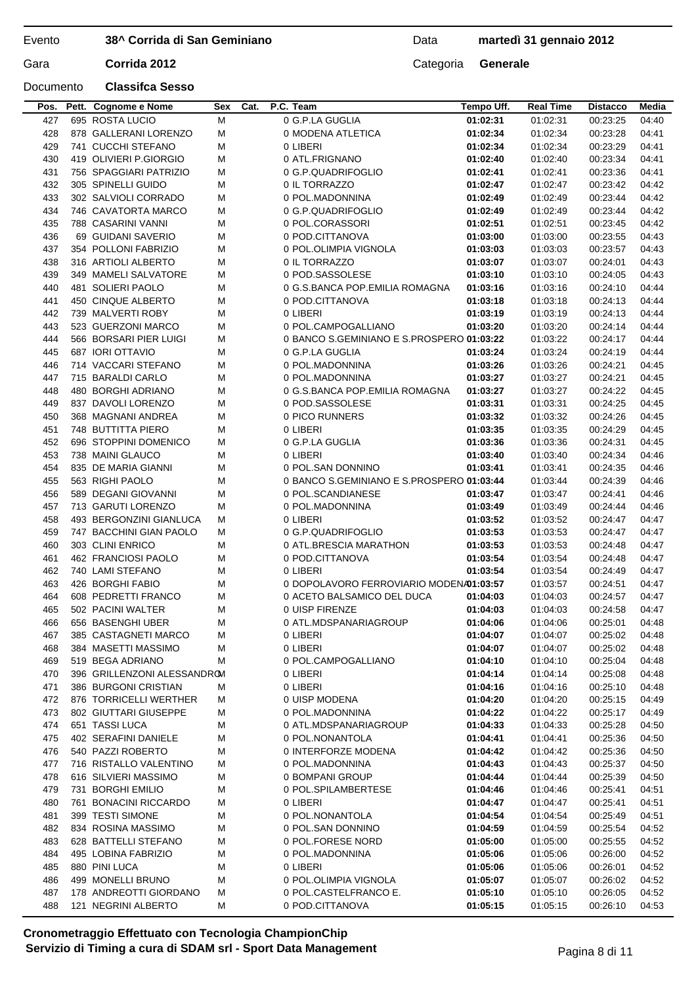Data **martedì 31 gennaio 2012**

## Documento **Classifca Sesso**

Gara **Corrida 2012** Categoria **Generale** 

|     | Pos. Pett. Cognome e Nome   | Sex | Cat. | P.C. Team                                 | Tempo Uff. | <b>Real Time</b> | <b>Distacco</b> | Media |
|-----|-----------------------------|-----|------|-------------------------------------------|------------|------------------|-----------------|-------|
| 427 | 695 ROSTA LUCIO             | M   |      | 0 G.P.LA GUGLIA                           | 01:02:31   | 01:02:31         | 00:23:25        | 04:40 |
| 428 | 878 GALLERANI LORENZO       | M   |      | 0 MODENA ATLETICA                         | 01:02:34   | 01:02:34         | 00:23:28        | 04:41 |
| 429 | 741 CUCCHI STEFANO          | м   |      | 0 LIBERI                                  | 01:02:34   | 01:02:34         | 00:23:29        | 04:41 |
| 430 | 419 OLIVIERI P.GIORGIO      | M   |      | 0 ATL.FRIGNANO                            | 01:02:40   | 01:02:40         | 00:23:34        | 04:41 |
| 431 | 756 SPAGGIARI PATRIZIO      | м   |      | 0 G.P.QUADRIFOGLIO                        | 01:02:41   | 01:02:41         | 00:23:36        | 04:41 |
| 432 | 305 SPINELLI GUIDO          | м   |      | 0 IL TORRAZZO                             | 01:02:47   | 01:02:47         | 00:23:42        | 04:42 |
| 433 | 302 SALVIOLI CORRADO        | M   |      | 0 POL.MADONNINA                           | 01:02:49   | 01:02:49         | 00:23:44        | 04:42 |
| 434 | 746 CAVATORTA MARCO         | M   |      | 0 G.P.QUADRIFOGLIO                        | 01:02:49   | 01:02:49         | 00:23:44        | 04:42 |
| 435 | 788 CASARINI VANNI          | м   |      | 0 POL.CORASSORI                           | 01:02:51   | 01:02:51         | 00:23:45        | 04:42 |
| 436 | 69 GUIDANI SAVERIO          | M   |      | 0 POD.CITTANOVA                           | 01:03:00   | 01:03:00         | 00:23:55        | 04:43 |
|     |                             |     |      |                                           |            |                  |                 |       |
| 437 | 354 POLLONI FABRIZIO        | M   |      | 0 POL.OLIMPIA VIGNOLA                     | 01:03:03   | 01:03:03         | 00:23:57        | 04:43 |
| 438 | 316 ARTIOLI ALBERTO         | M   |      | 0 IL TORRAZZO                             | 01:03:07   | 01:03:07         | 00:24:01        | 04:43 |
| 439 | 349 MAMELI SALVATORE        | M   |      | 0 POD.SASSOLESE                           | 01:03:10   | 01:03:10         | 00:24:05        | 04:43 |
| 440 | 481 SOLIERI PAOLO           | M   |      | 0 G.S.BANCA POP.EMILIA ROMAGNA            | 01:03:16   | 01:03:16         | 00:24:10        | 04:44 |
| 441 | 450 CINQUE ALBERTO          | M   |      | 0 POD.CITTANOVA                           | 01:03:18   | 01:03:18         | 00:24:13        | 04:44 |
| 442 | 739 MALVERTI ROBY           | M   |      | 0 LIBERI                                  | 01:03:19   | 01:03:19         | 00:24:13        | 04:44 |
| 443 | 523 GUERZONI MARCO          | M   |      | 0 POL.CAMPOGALLIANO                       | 01:03:20   | 01:03:20         | 00:24:14        | 04:44 |
| 444 | 566 BORSARI PIER LUIGI      | м   |      | 0 BANCO S.GEMINIANO E S.PROSPERO 01:03:22 |            | 01:03:22         | 00:24:17        | 04:44 |
| 445 | 687 IORI OTTAVIO            | M   |      | 0 G.P.LA GUGLIA                           | 01:03:24   | 01:03:24         | 00:24:19        | 04:44 |
| 446 | 714 VACCARI STEFANO         | M   |      | 0 POL.MADONNINA                           | 01:03:26   | 01:03:26         | 00:24:21        | 04:45 |
| 447 | 715 BARALDI CARLO           | M   |      | 0 POL.MADONNINA                           | 01:03:27   | 01:03:27         | 00:24:21        | 04:45 |
| 448 | 480 BORGHI ADRIANO          | M   |      | 0 G.S.BANCA POP.EMILIA ROMAGNA            | 01:03:27   | 01:03:27         | 00:24:22        | 04:45 |
| 449 | 837 DAVOLI LORENZO          | M   |      | 0 POD.SASSOLESE                           | 01:03:31   | 01:03:31         | 00:24:25        | 04:45 |
| 450 | 368 MAGNANI ANDREA          | м   |      | 0 PICO RUNNERS                            | 01:03:32   | 01:03:32         | 00:24:26        | 04:45 |
| 451 | 748 BUTTITTA PIERO          | M   |      | 0 LIBERI                                  | 01:03:35   | 01:03:35         | 00:24:29        | 04:45 |
| 452 | 696 STOPPINI DOMENICO       | M   |      | 0 G.P.LA GUGLIA                           | 01:03:36   | 01:03:36         | 00:24:31        | 04:45 |
| 453 | 738 MAINI GLAUCO            | M   |      | 0 LIBERI                                  | 01:03:40   | 01:03:40         | 00:24:34        | 04:46 |
| 454 | 835 DE MARIA GIANNI         | M   |      | 0 POL.SAN DONNINO                         | 01:03:41   | 01:03:41         | 00:24:35        | 04:46 |
|     |                             |     |      |                                           |            |                  |                 |       |
| 455 | 563 RIGHI PAOLO             | M   |      | 0 BANCO S.GEMINIANO E S.PROSPERO 01:03:44 |            | 01:03:44         | 00:24:39        | 04:46 |
| 456 | 589 DEGANI GIOVANNI         | M   |      | 0 POL.SCANDIANESE                         | 01:03:47   | 01:03:47         | 00:24:41        | 04:46 |
| 457 | 713 GARUTI LORENZO          | M   |      | 0 POL.MADONNINA                           | 01:03:49   | 01:03:49         | 00:24:44        | 04:46 |
| 458 | 493 BERGONZINI GIANLUCA     | м   |      | 0 LIBERI                                  | 01:03:52   | 01:03:52         | 00:24:47        | 04:47 |
| 459 | 747 BACCHINI GIAN PAOLO     | M   |      | 0 G.P.QUADRIFOGLIO                        | 01:03:53   | 01:03:53         | 00:24:47        | 04:47 |
| 460 | 303 CLINI ENRICO            | м   |      | 0 ATL.BRESCIA MARATHON                    | 01:03:53   | 01:03:53         | 00:24:48        | 04:47 |
| 461 | 462 FRANCIOSI PAOLO         | M   |      | 0 POD.CITTANOVA                           | 01:03:54   | 01:03:54         | 00:24:48        | 04:47 |
| 462 | 740 LAMI STEFANO            | M   |      | 0 LIBERI                                  | 01:03:54   | 01:03:54         | 00:24:49        | 04:47 |
| 463 | 426 BORGHI FABIO            | M   |      | 0 DOPOLAVORO FERROVIARIO MODENA01:03:57   |            | 01:03:57         | 00:24:51        | 04:47 |
| 464 | 608 PEDRETTI FRANCO         | M   |      | 0 ACETO BALSAMICO DEL DUCA                | 01:04:03   | 01:04:03         | 00:24:57        | 04:47 |
| 465 | 502 PACINI WALTER           | M   |      | 0 UISP FIRENZE                            | 01:04:03   | 01:04:03         | 00:24:58        | 04:47 |
| 466 | 656 BASENGHI UBER           | М   |      | 0 ATL.MDSPANARIAGROUP                     | 01:04:06   | 01:04:06         | 00:25:01        | 04:48 |
| 467 | 385 CASTAGNETI MARCO        | M   |      | 0 LIBERI                                  | 01:04:07   | 01:04:07         | 00:25:02        | 04:48 |
| 468 | 384 MASETTI MASSIMO         | M   |      | 0 LIBERI                                  | 01:04:07   | 01:04:07         | 00:25:02        | 04:48 |
| 469 | 519 BEGA ADRIANO            | M   |      | 0 POL.CAMPOGALLIANO                       | 01:04:10   | 01:04:10         | 00:25:04        | 04:48 |
| 470 | 396 GRILLENZONI ALESSANDROM |     |      | 0 LIBERI                                  | 01:04:14   | 01:04:14         | 00:25:08        | 04:48 |
| 471 | 386 BURGONI CRISTIAN        | м   |      | 0 LIBERI                                  | 01:04:16   | 01:04:16         | 00:25:10        | 04:48 |
| 472 | 876 TORRICELLI WERTHER      | M   |      | 0 UISP MODENA                             | 01:04:20   | 01:04:20         | 00:25:15        | 04:49 |
| 473 | 802 GIUTTARI GIUSEPPE       | M   |      | 0 POL.MADONNINA                           | 01:04:22   | 01:04:22         | 00:25:17        | 04:49 |
| 474 | 651 TASSI LUCA              | M   |      | 0 ATL.MDSPANARIAGROUP                     | 01:04:33   | 01:04:33         | 00:25:28        | 04:50 |
| 475 | 402 SERAFINI DANIELE        | M   |      | 0 POL.NONANTOLA                           | 01:04:41   | 01:04:41         | 00:25:36        | 04:50 |
| 476 | 540 PAZZI ROBERTO           |     |      | 0 INTERFORZE MODENA                       |            |                  |                 |       |
|     | 716 RISTALLO VALENTINO      | M   |      |                                           | 01:04:42   | 01:04:42         | 00:25:36        | 04:50 |
| 477 |                             | M   |      | 0 POL.MADONNINA                           | 01:04:43   | 01:04:43         | 00:25:37        | 04:50 |
| 478 | 616 SILVIERI MASSIMO        | М   |      | 0 BOMPANI GROUP                           | 01:04:44   | 01:04:44         | 00:25:39        | 04:50 |
| 479 | 731 BORGHI EMILIO           | M   |      | 0 POL.SPILAMBERTESE                       | 01:04:46   | 01:04:46         | 00:25:41        | 04:51 |
| 480 | 761 BONACINI RICCARDO       | M   |      | 0 LIBERI                                  | 01:04:47   | 01:04:47         | 00:25:41        | 04:51 |
| 481 | 399 TESTI SIMONE            | M   |      | 0 POL.NONANTOLA                           | 01:04:54   | 01:04:54         | 00:25:49        | 04:51 |
| 482 | 834 ROSINA MASSIMO          | М   |      | 0 POL.SAN DONNINO                         | 01:04:59   | 01:04:59         | 00:25:54        | 04:52 |
| 483 | 628 BATTELLI STEFANO        | М   |      | 0 POL.FORESE NORD                         | 01:05:00   | 01:05:00         | 00:25:55        | 04:52 |
| 484 | 495 LOBINA FABRIZIO         | М   |      | 0 POL.MADONNINA                           | 01:05:06   | 01:05:06         | 00:26:00        | 04:52 |
| 485 | 880 PINI LUCA               | M   |      | 0 LIBERI                                  | 01:05:06   | 01:05:06         | 00:26:01        | 04:52 |
| 486 | 499 MONELLI BRUNO           | M   |      | 0 POL.OLIMPIA VIGNOLA                     | 01:05:07   | 01:05:07         | 00:26:02        | 04:52 |
| 487 | 178 ANDREOTTI GIORDANO      | M   |      | 0 POL.CASTELFRANCO E.                     | 01:05:10   | 01:05:10         | 00:26:05        | 04:52 |
| 488 | 121 NEGRINI ALBERTO         | м   |      | 0 POD.CITTANOVA                           | 01:05:15   | 01:05:15         | 00:26:10        | 04:53 |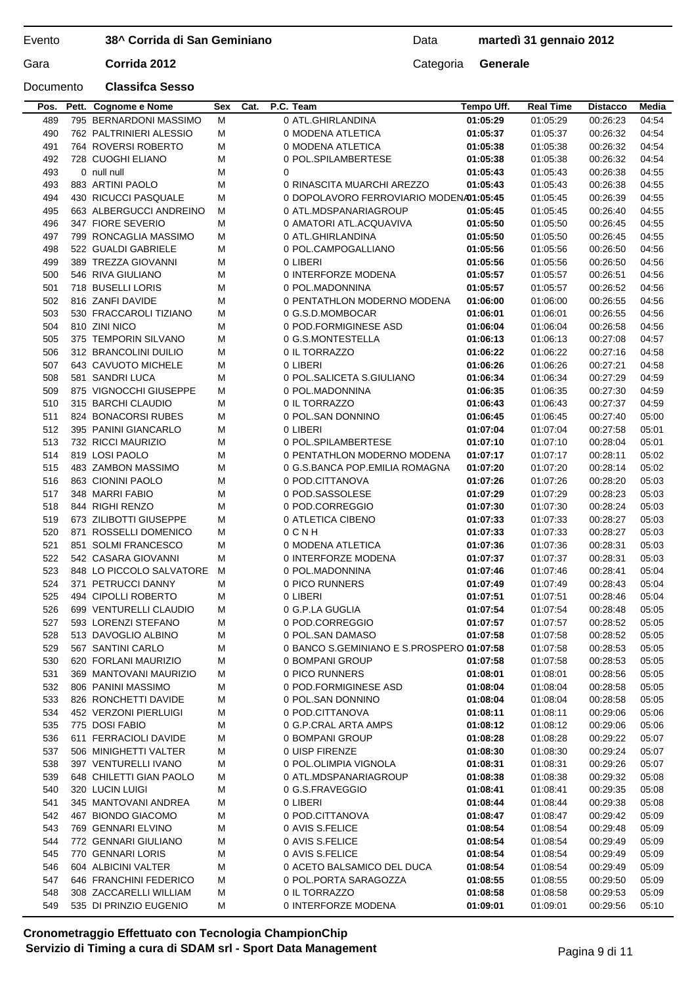## Data **martedì 31 gennaio 2012**

Documento **Classifca Sesso**

| Pos. | Pett. Cognome e Nome     | Sex | Cat. | P.C. Team                                 | Tempo Uff. | <b>Real Time</b> | <b>Distacco</b> | Media |
|------|--------------------------|-----|------|-------------------------------------------|------------|------------------|-----------------|-------|
| 489  | 795 BERNARDONI MASSIMO   | м   |      | 0 ATL.GHIRLANDINA                         | 01:05:29   | 01:05:29         | 00:26:23        | 04:54 |
| 490  | 762 PALTRINIERI ALESSIO  | M   |      | 0 MODENA ATLETICA                         | 01:05:37   | 01:05:37         | 00:26:32        | 04:54 |
| 491  | 764 ROVERSI ROBERTO      | M   |      | 0 MODENA ATLETICA                         | 01:05:38   | 01:05:38         | 00:26:32        | 04:54 |
| 492  | 728 CUOGHI ELIANO        | M   |      | 0 POL.SPILAMBERTESE                       | 01:05:38   | 01:05:38         | 00:26:32        | 04:54 |
| 493  | 0 null null              | M   |      | 0                                         | 01:05:43   | 01:05:43         | 00:26:38        | 04:55 |
| 493  | 883 ARTINI PAOLO         | M   |      | 0 RINASCITA MUARCHI AREZZO                | 01:05:43   | 01:05:43         | 00:26:38        | 04:55 |
| 494  | 430 RICUCCI PASQUALE     | м   |      | 0 DOPOLAVORO FERROVIARIO MODENA01:05:45   |            | 01:05:45         | 00:26:39        | 04:55 |
| 495  | 663 ALBERGUCCI ANDREINO  | м   |      | 0 ATL.MDSPANARIAGROUP                     | 01:05:45   | 01:05:45         | 00:26:40        | 04:55 |
| 496  | 347 FIORE SEVERIO        | м   |      | 0 AMATORI ATL.ACQUAVIVA                   | 01:05:50   | 01:05:50         | 00:26:45        | 04:55 |
| 497  | 799 RONCAGLIA MASSIMO    | м   |      | 0 ATL.GHIRLANDINA                         | 01:05:50   | 01:05:50         | 00:26:45        | 04:55 |
| 498  | 522 GUALDI GABRIELE      | M   |      | 0 POL.CAMPOGALLIANO                       | 01:05:56   | 01:05:56         | 00:26:50        | 04:56 |
| 499  | 389 TREZZA GIOVANNI      | м   |      | 0 LIBERI                                  | 01:05:56   | 01:05:56         | 00:26:50        | 04:56 |
| 500  | 546 RIVA GIULIANO        | M   |      | 0 INTERFORZE MODENA                       | 01:05:57   | 01:05:57         | 00:26:51        | 04:56 |
| 501  | 718 BUSELLI LORIS        | м   |      | 0 POL.MADONNINA                           | 01:05:57   | 01:05:57         | 00:26:52        | 04:56 |
| 502  | 816 ZANFI DAVIDE         | м   |      | 0 PENTATHLON MODERNO MODENA               | 01:06:00   | 01:06:00         | 00:26:55        | 04:56 |
| 503  | 530 FRACCAROLI TIZIANO   | м   |      | 0 G.S.D.MOMBOCAR                          | 01:06:01   | 01:06:01         | 00:26:55        | 04:56 |
| 504  | 810 ZINI NICO            | м   |      | 0 POD.FORMIGINESE ASD                     | 01:06:04   | 01:06:04         | 00:26:58        | 04:56 |
| 505  | 375 TEMPORIN SILVANO     | м   |      | 0 G.S.MONTESTELLA                         | 01:06:13   | 01:06:13         | 00:27:08        | 04:57 |
| 506  | 312 BRANCOLINI DUILIO    | M   |      | 0 IL TORRAZZO                             | 01:06:22   | 01:06:22         | 00:27:16        | 04:58 |
| 507  | 643 CAVUOTO MICHELE      | м   |      | 0 LIBERI                                  | 01:06:26   | 01:06:26         | 00:27:21        | 04:58 |
| 508  | 581 SANDRI LUCA          | м   |      | 0 POL.SALICETA S.GIULIANO                 | 01:06:34   | 01:06:34         | 00:27:29        | 04:59 |
| 509  | 875 VIGNOCCHI GIUSEPPE   | м   |      | 0 POL.MADONNINA                           | 01:06:35   | 01:06:35         | 00:27:30        | 04:59 |
| 510  | 315 BARCHI CLAUDIO       | м   |      | 0 IL TORRAZZO                             | 01:06:43   | 01:06:43         | 00:27:37        | 04:59 |
| 511  | 824 BONACORSI RUBES      | м   |      | 0 POL.SAN DONNINO                         | 01:06:45   | 01:06:45         | 00:27:40        | 05:00 |
| 512  | 395 PANINI GIANCARLO     | M   |      | 0 LIBERI                                  | 01:07:04   | 01:07:04         | 00:27:58        | 05:01 |
| 513  | 732 RICCI MAURIZIO       | м   |      | 0 POL.SPILAMBERTESE                       | 01:07:10   | 01:07:10         | 00:28:04        | 05:01 |
| 514  | 819 LOSI PAOLO           | M   |      | 0 PENTATHLON MODERNO MODENA               | 01:07:17   | 01:07:17         | 00:28:11        | 05:02 |
| 515  | 483 ZAMBON MASSIMO       | M   |      | 0 G.S.BANCA POP.EMILIA ROMAGNA            | 01:07:20   | 01:07:20         | 00:28:14        | 05:02 |
| 516  | 863 CIONINI PAOLO        | M   |      | 0 POD.CITTANOVA                           | 01:07:26   | 01:07:26         | 00:28:20        | 05:03 |
| 517  | 348 MARRI FABIO          | М   |      | 0 POD.SASSOLESE                           | 01:07:29   | 01:07:29         | 00:28:23        | 05:03 |
| 518  | 844 RIGHI RENZO          | M   |      | 0 POD.CORREGGIO                           | 01:07:30   | 01:07:30         | 00:28:24        | 05:03 |
| 519  | 673 ZILIBOTTI GIUSEPPE   | м   |      | 0 ATLETICA CIBENO                         | 01:07:33   | 01:07:33         | 00:28:27        | 05:03 |
| 520  | 871 ROSSELLI DOMENICO    | м   |      | 0 C N H                                   | 01:07:33   | 01:07:33         | 00:28:27        | 05:03 |
| 521  | 851 SOLMI FRANCESCO      | м   |      | 0 MODENA ATLETICA                         | 01:07:36   | 01:07:36         | 00:28:31        | 05:03 |
| 522  | 542 CASARA GIOVANNI      | м   |      | 0 INTERFORZE MODENA                       | 01:07:37   | 01:07:37         | 00:28:31        | 05:03 |
| 523  | 848 LO PICCOLO SALVATORE | м   |      | 0 POL.MADONNINA                           | 01:07:46   | 01:07:46         | 00:28:41        | 05:04 |
| 524  | 371 PETRUCCI DANNY       | м   |      | 0 PICO RUNNERS                            | 01:07:49   | 01:07:49         | 00:28:43        | 05:04 |
| 525  | 494 CIPOLLI ROBERTO      | м   |      | 0 LIBERI                                  | 01:07:51   | 01:07:51         | 00:28:46        | 05:04 |
| 526  | 699 VENTURELLI CLAUDIO   | м   |      | 0 G.P.LA GUGLIA                           | 01:07:54   | 01:07:54         | 00:28:48        | 05:05 |
| 527  | 593 LORENZI STEFANO      | м   |      | 0 POD.CORREGGIO                           | 01:07:57   | 01:07:57         | 00:28:52        | 05:05 |
| 528  | 513 DAVOGLIO ALBINO      | M   |      | 0 POL.SAN DAMASO                          | 01:07:58   | 01:07:58         | 00:28:52        | 05:05 |
| 529  | 567 SANTINI CARLO        | м   |      | 0 BANCO S.GEMINIANO E S.PROSPERO 01:07:58 |            | 01:07:58         | 00:28:53        | 05:05 |
| 530  | 620 FORLANI MAURIZIO     | M   |      | 0 BOMPANI GROUP                           | 01:07:58   | 01:07:58         | 00:28:53        | 05:05 |
| 531  | 369 MANTOVANI MAURIZIO   | M   |      | 0 PICO RUNNERS                            | 01:08:01   | 01:08:01         | 00:28:56        | 05:05 |
| 532  | 806 PANINI MASSIMO       | M   |      | 0 POD.FORMIGINESE ASD                     | 01:08:04   | 01:08:04         | 00:28:58        | 05:05 |
| 533  | 826 RONCHETTI DAVIDE     | м   |      | 0 POL.SAN DONNINO                         | 01:08:04   | 01:08:04         | 00:28:58        | 05:05 |
| 534  | 452 VERZONI PIERLUIGI    | M   |      | 0 POD.CITTANOVA                           | 01:08:11   | 01:08:11         | 00:29:06        | 05:06 |
| 535  | 775 DOSI FABIO           | м   |      | 0 G.P.CRAL ARTA AMPS                      | 01:08:12   | 01:08:12         | 00:29:06        | 05:06 |
| 536  | 611 FERRACIOLI DAVIDE    | M   |      | 0 BOMPANI GROUP                           | 01:08:28   | 01:08:28         | 00:29:22        | 05:07 |
| 537  | 506 MINIGHETTI VALTER    | м   |      | 0 UISP FIRENZE                            | 01:08:30   | 01:08:30         | 00:29:24        | 05:07 |
| 538  | 397 VENTURELLI IVANO     | м   |      | 0 POL.OLIMPIA VIGNOLA                     | 01:08:31   | 01:08:31         | 00:29:26        | 05:07 |
| 539  | 648 CHILETTI GIAN PAOLO  | м   |      | 0 ATL.MDSPANARIAGROUP                     | 01:08:38   | 01:08:38         | 00:29:32        | 05:08 |
| 540  | 320 LUCIN LUIGI          | M   |      | 0 G.S.FRAVEGGIO                           | 01:08:41   | 01:08:41         | 00:29:35        | 05:08 |
| 541  | 345 MANTOVANI ANDREA     | M   |      | 0 LIBERI                                  | 01:08:44   | 01:08:44         | 00:29:38        | 05:08 |
| 542  | 467 BIONDO GIACOMO       | M   |      | 0 POD.CITTANOVA                           | 01:08:47   | 01:08:47         | 00:29:42        | 05:09 |
| 543  | 769 GENNARI ELVINO       | M   |      | 0 AVIS S.FELICE                           | 01:08:54   | 01:08:54         | 00:29:48        | 05:09 |
| 544  | 772 GENNARI GIULIANO     | м   |      | 0 AVIS S.FELICE                           | 01:08:54   | 01:08:54         | 00:29:49        | 05:09 |
| 545  | 770 GENNARI LORIS        | M   |      | 0 AVIS S.FELICE                           | 01:08:54   | 01:08:54         | 00:29:49        | 05:09 |
| 546  | 604 ALBICINI VALTER      | M   |      | 0 ACETO BALSAMICO DEL DUCA                | 01:08:54   | 01:08:54         | 00:29:49        | 05:09 |
| 547  | 646 FRANCHINI FEDERICO   | м   |      | 0 POL.PORTA SARAGOZZA                     | 01:08:55   | 01:08:55         | 00:29:50        | 05:09 |
| 548  | 308 ZACCARELLI WILLIAM   | M   |      | 0 IL TORRAZZO                             | 01:08:58   | 01:08:58         | 00:29:53        | 05:09 |
| 549  | 535 DI PRINZIO EUGENIO   | м   |      | 0 INTERFORZE MODENA                       | 01:09:01   | 01:09:01         | 00:29:56        | 05:10 |
|      |                          |     |      |                                           |            |                  |                 |       |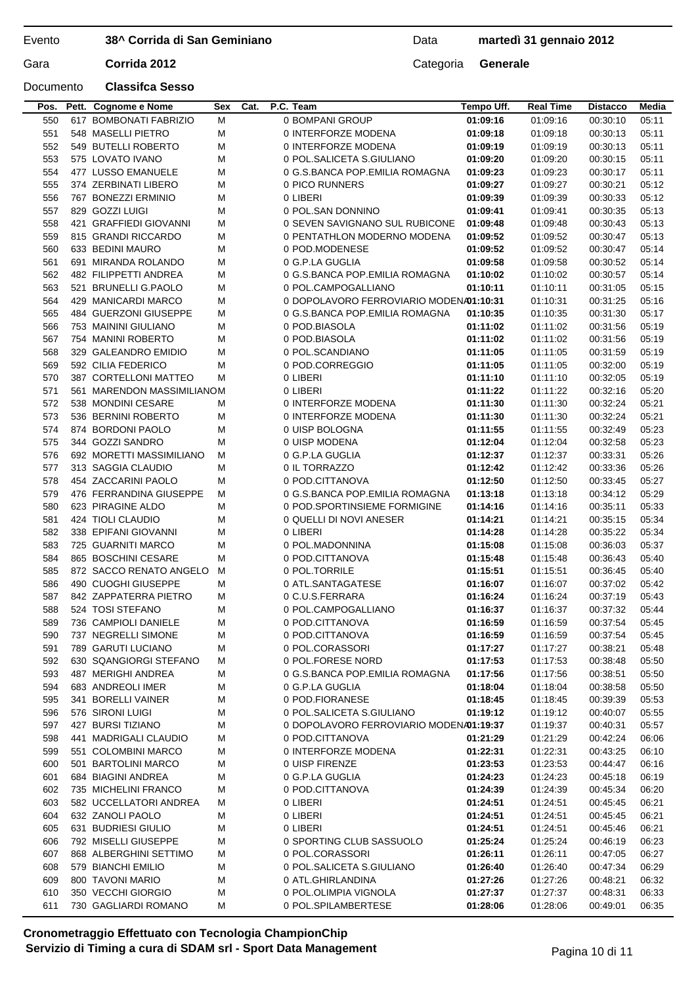Data **martedì 31 gennaio 2012**

## Documento **Classifca Sesso**

| Pos. | Pett. Cognome e Nome       | Sex | Cat. | P.C. Team                               | Tempo Uff. | <b>Real Time</b> | <b>Distacco</b> | Media |
|------|----------------------------|-----|------|-----------------------------------------|------------|------------------|-----------------|-------|
| 550  | 617 BOMBONATI FABRIZIO     | M   |      | 0 BOMPANI GROUP                         | 01:09:16   | 01:09:16         | 00:30:10        | 05:11 |
| 551  | 548 MASELLI PIETRO         | м   |      | 0 INTERFORZE MODENA                     | 01:09:18   | 01:09:18         | 00:30:13        | 05:11 |
| 552  | 549 BUTELLI ROBERTO        | M   |      | 0 INTERFORZE MODENA                     | 01:09:19   | 01:09:19         | 00:30:13        | 05:11 |
| 553  | 575 LOVATO IVANO           | M   |      | 0 POL.SALICETA S.GIULIANO               | 01:09:20   | 01:09:20         | 00:30:15        | 05:11 |
| 554  | 477 LUSSO EMANUELE         | M   |      | 0 G.S.BANCA POP.EMILIA ROMAGNA          | 01:09:23   | 01:09:23         | 00:30:17        | 05:11 |
| 555  | 374 ZERBINATI LIBERO       | M   |      | 0 PICO RUNNERS                          | 01:09:27   | 01:09:27         | 00:30:21        | 05:12 |
| 556  | 767 BONEZZI ERMINIO        | M   |      | 0 LIBERI                                | 01:09:39   | 01:09:39         | 00:30:33        | 05:12 |
| 557  | 829 GOZZI LUIGI            | м   |      | 0 POL.SAN DONNINO                       | 01:09:41   | 01:09:41         | 00:30:35        | 05:13 |
| 558  | 421 GRAFFIEDI GIOVANNI     | M   |      | 0 SEVEN SAVIGNANO SUL RUBICONE          | 01:09:48   | 01:09:48         | 00:30:43        | 05:13 |
| 559  | 815 GRANDI RICCARDO        | м   |      | 0 PENTATHLON MODERNO MODENA             | 01:09:52   | 01:09:52         | 00:30:47        | 05:13 |
| 560  | 633 BEDINI MAURO           | M   |      | 0 POD.MODENESE                          | 01:09:52   | 01:09:52         | 00:30:47        | 05:14 |
| 561  | 691 MIRANDA ROLANDO        | M   |      | 0 G.P.LA GUGLIA                         | 01:09:58   | 01:09:58         | 00:30:52        | 05:14 |
| 562  | 482 FILIPPETTI ANDREA      | м   |      | 0 G.S.BANCA POP.EMILIA ROMAGNA          | 01:10:02   | 01:10:02         | 00:30:57        | 05:14 |
| 563  | 521 BRUNELLI G.PAOLO       | м   |      | 0 POL.CAMPOGALLIANO                     | 01:10:11   | 01:10:11         | 00:31:05        | 05:15 |
| 564  | 429 MANICARDI MARCO        | м   |      | 0 DOPOLAVORO FERROVIARIO MODENA01:10:31 |            | 01:10:31         | 00:31:25        | 05:16 |
| 565  | 484 GUERZONI GIUSEPPE      | M   |      | 0 G.S.BANCA POP.EMILIA ROMAGNA          | 01:10:35   | 01:10:35         | 00:31:30        | 05:17 |
| 566  | 753 MAININI GIULIANO       | м   |      | 0 POD.BIASOLA                           | 01:11:02   | 01:11:02         | 00:31:56        | 05:19 |
| 567  | 754 MANINI ROBERTO         | м   |      | 0 POD.BIASOLA                           | 01:11:02   | 01:11:02         | 00:31:56        | 05:19 |
| 568  | 329 GALEANDRO EMIDIO       | M   |      | 0 POL.SCANDIANO                         | 01:11:05   | 01:11:05         | 00:31:59        | 05:19 |
| 569  | 592 CILIA FEDERICO         | м   |      | 0 POD.CORREGGIO                         | 01:11:05   | 01:11:05         | 00:32:00        | 05:19 |
| 570  | 387 CORTELLONI MATTEO      | м   |      | 0 LIBERI                                | 01:11:10   | 01:11:10         | 00:32:05        | 05:19 |
| 571  | 561 MARENDON MASSIMILIANOM |     |      | 0 LIBERI                                | 01:11:22   | 01:11:22         | 00:32:16        | 05:20 |
| 572  | 538 MONDINI CESARE         | м   |      | 0 INTERFORZE MODENA                     | 01:11:30   | 01:11:30         | 00:32:24        | 05:21 |
| 573  | 536 BERNINI ROBERTO        | м   |      | 0 INTERFORZE MODENA                     | 01:11:30   | 01:11:30         | 00:32:24        | 05:21 |
| 574  | 874 BORDONI PAOLO          | м   |      | 0 UISP BOLOGNA                          | 01:11:55   | 01:11:55         | 00:32:49        | 05:23 |
| 575  | 344 GOZZI SANDRO           | м   |      | 0 UISP MODENA                           | 01:12:04   | 01:12:04         | 00:32:58        | 05:23 |
| 576  | 692 MORETTI MASSIMILIANO   | м   |      | 0 G.P.LA GUGLIA                         | 01:12:37   | 01:12:37         | 00:33:31        | 05:26 |
| 577  | 313 SAGGIA CLAUDIO         | м   |      | 0 IL TORRAZZO                           | 01:12:42   | 01:12:42         | 00:33:36        | 05:26 |
| 578  | 454 ZACCARINI PAOLO        | м   |      | 0 POD.CITTANOVA                         | 01:12:50   | 01:12:50         | 00:33:45        | 05:27 |
| 579  | 476 FERRANDINA GIUSEPPE    | м   |      | 0 G.S.BANCA POP.EMILIA ROMAGNA          | 01:13:18   | 01:13:18         | 00:34:12        | 05:29 |
| 580  | 623 PIRAGINE ALDO          | м   |      | 0 POD.SPORTINSIEME FORMIGINE            | 01:14:16   | 01:14:16         | 00:35:11        | 05:33 |
| 581  | 424 TIOLI CLAUDIO          | м   |      | 0 QUELLI DI NOVI ANESER                 | 01:14:21   | 01:14:21         | 00:35:15        | 05:34 |
| 582  | 338 EPIFANI GIOVANNI       | м   |      | 0 LIBERI                                | 01:14:28   | 01:14:28         | 00:35:22        | 05:34 |
| 583  | 725 GUARNITI MARCO         | M   |      | 0 POL.MADONNINA                         | 01:15:08   | 01:15:08         | 00:36:03        | 05:37 |
| 584  | 865 BOSCHINI CESARE        | м   |      | 0 POD.CITTANOVA                         | 01:15:48   | 01:15:48         | 00:36:43        | 05:40 |
| 585  | 872 SACCO RENATO ANGELO    | М   |      | 0 POL.TORRILE                           | 01:15:51   | 01:15:51         | 00:36:45        | 05:40 |
| 586  | 490 CUOGHI GIUSEPPE        | м   |      | 0 ATL.SANTAGATESE                       | 01:16:07   | 01:16:07         | 00:37:02        | 05:42 |
| 587  | 842 ZAPPATERRA PIETRO      | м   |      | 0 C.U.S.FERRARA                         | 01:16:24   | 01:16:24         | 00:37:19        | 05:43 |
| 588  | 524 TOSI STEFANO           | м   |      | 0 POL.CAMPOGALLIANO                     | 01:16:37   | 01:16:37         | 00:37:32        | 05:44 |
| 589  | 736 CAMPIOLI DANIELE       | M   |      | 0 POD.CITTANOVA                         | 01:16:59   | 01:16:59         | 00:37:54        | 05:45 |
| 590  | 737 NEGRELLI SIMONE        | м   |      | 0 POD.CITTANOVA                         | 01:16:59   | 01:16:59         | 00:37:54        | 05:45 |
| 591  | 789 GARUTI LUCIANO         | M   |      | 0 POL.CORASSORI                         | 01:17:27   | 01:17:27         | 00:38:21        | 05:48 |
| 592  | 630 SQANGIORGI STEFANO     | м   |      | 0 POL.FORESE NORD                       | 01:17:53   | 01:17:53         | 00:38:48        | 05:50 |
| 593  | 487 MERIGHI ANDREA         | м   |      | 0 G.S.BANCA POP.EMILIA ROMAGNA          | 01:17:56   | 01:17:56         | 00:38:51        | 05:50 |
| 594  | 683 ANDREOLI IMER          | M   |      | 0 G.P.LA GUGLIA                         | 01:18:04   | 01:18:04         | 00:38:58        | 05:50 |
| 595  | 341 BORELLI VAINER         | M   |      | 0 POD.FIORANESE                         | 01:18:45   | 01:18:45         | 00:39:39        | 05:53 |
| 596  | 576 SIRONI LUIGI           | M   |      | 0 POL.SALICETA S.GIULIANO               | 01:19:12   | 01:19:12         | 00:40:07        | 05:55 |
| 597  | 427 BURSI TIZIANO          | M   |      | 0 DOPOLAVORO FERROVIARIO MODENA01:19:37 |            | 01:19:37         | 00:40:31        | 05:57 |
| 598  | 441 MADRIGALI CLAUDIO      | M   |      | 0 POD.CITTANOVA                         | 01:21:29   | 01:21:29         | 00:42:24        | 06:06 |
| 599  | 551 COLOMBINI MARCO        | м   |      | 0 INTERFORZE MODENA                     | 01:22:31   | 01:22:31         | 00:43:25        | 06:10 |
| 600  | 501 BARTOLINI MARCO        | M   |      | 0 UISP FIRENZE                          | 01:23:53   | 01:23:53         | 00:44:47        | 06:16 |
| 601  | 684 BIAGINI ANDREA         | M   |      | 0 G.P.LA GUGLIA                         | 01:24:23   | 01:24:23         | 00:45:18        | 06:19 |
| 602  | 735 MICHELINI FRANCO       | M   |      | 0 POD.CITTANOVA                         | 01:24:39   | 01:24:39         | 00:45:34        | 06:20 |
| 603  | 582 UCCELLATORI ANDREA     | м   |      | 0 LIBERI                                | 01:24:51   | 01:24:51         | 00:45:45        | 06:21 |
| 604  | 632 ZANOLI PAOLO           | м   |      | 0 LIBERI                                | 01:24:51   | 01:24:51         | 00:45:45        | 06:21 |
| 605  | 631 BUDRIESI GIULIO        | м   |      | 0 LIBERI                                | 01:24:51   | 01:24:51         | 00:45:46        | 06:21 |
| 606  | 792 MISELLI GIUSEPPE       | м   |      | 0 SPORTING CLUB SASSUOLO                | 01:25:24   | 01:25:24         | 00:46:19        | 06:23 |
| 607  | 868 ALBERGHINI SETTIMO     | M   |      | 0 POL.CORASSORI                         | 01:26:11   | 01:26:11         | 00:47:05        | 06:27 |
| 608  | 579 BIANCHI EMILIO         | м   |      | 0 POL.SALICETA S.GIULIANO               | 01:26:40   | 01:26:40         | 00:47:34        | 06:29 |
| 609  | 800 TAVONI MARIO           | M   |      | 0 ATL.GHIRLANDINA                       | 01:27:26   | 01:27:26         | 00:48:21        | 06:32 |
| 610  | 350 VECCHI GIORGIO         | M   |      | 0 POL.OLIMPIA VIGNOLA                   | 01:27:37   | 01:27:37         | 00:48:31        | 06:33 |
| 611  | 730 GAGLIARDI ROMANO       | м   |      | 0 POL.SPILAMBERTESE                     | 01:28:06   | 01:28:06         | 00:49:01        | 06:35 |